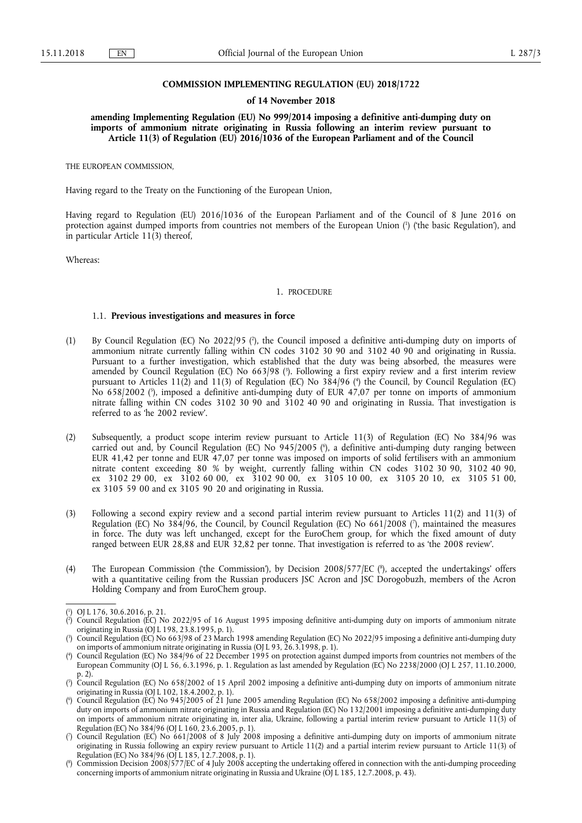#### **COMMISSION IMPLEMENTING REGULATION (EU) 2018/1722**

#### **of 14 November 2018**

**amending Implementing Regulation (EU) No 999/2014 imposing a definitive anti-dumping duty on imports of ammonium nitrate originating in Russia following an interim review pursuant to Article 11(3) of Regulation (EU) 2016/1036 of the European Parliament and of the Council** 

THE EUROPEAN COMMISSION,

Having regard to the Treaty on the Functioning of the European Union,

Having regard to Regulation (EU) 2016/1036 of the European Parliament and of the Council of 8 June 2016 on protection against dumped imports from countries not members of the European Union ( 1 ) ('the basic Regulation'), and in particular Article 11(3) thereof,

Whereas:

#### 1. PROCEDURE

#### 1.1. **Previous investigations and measures in force**

- (1) By Council Regulation (EC) No 2022/95 (<sup>2</sup>), the Council imposed a definitive anti-dumping duty on imports of ammonium nitrate currently falling within CN codes 3102 30 90 and 3102 40 90 and originating in Russia. Pursuant to a further investigation, which established that the duty was being absorbed, the measures were amended by Council Regulation (EC) No 663/98 ( 3 ). Following a first expiry review and a first interim review pursuant to Articles 11(2) and 11(3) of Regulation (EC) No 384/96 (<sup>4</sup>) the Council, by Council Regulation (EC) No 658/2002 (<sup>5</sup>), imposed a definitive anti-dumping duty of EUR 47,07 per tonne on imports of ammonium nitrate falling within CN codes 3102 30 90 and 3102 40 90 and originating in Russia. That investigation is referred to as 'he 2002 review'.
- (2) Subsequently, a product scope interim review pursuant to Article 11(3) of Regulation (EC) No 384/96 was carried out and, by Council Regulation (EC) No 945/2005 ( 6 ), a definitive anti-dumping duty ranging between EUR 41,42 per tonne and EUR 47,07 per tonne was imposed on imports of solid fertilisers with an ammonium nitrate content exceeding 80 % by weight, currently falling within CN codes 3102 30 90, 3102 40 90, ex 3102 29 00, ex 3102 60 00, ex 3102 90 00, ex 3105 10 00, ex 3105 20 10, ex 3105 51 00, ex 3105 59 00 and ex 3105 90 20 and originating in Russia.
- (3) Following a second expiry review and a second partial interim review pursuant to Articles 11(2) and 11(3) of Regulation (EC) No 384/96, the Council, by Council Regulation (EC) No 661/2008 ( 7 ), maintained the measures in force. The duty was left unchanged, except for the EuroChem group, for which the fixed amount of duty ranged between EUR 28,88 and EUR 32,82 per tonne. That investigation is referred to as 'the 2008 review'.
- (4) The European Commission ('the Commission'), by Decision 2008/577/EC ( 8 ), accepted the undertakings' offers with a quantitative ceiling from the Russian producers JSC Acron and JSC Dorogobuzh, members of the Acron Holding Company and from EuroChem group.

<sup>(</sup> 1 ) OJ L 176, 30.6.2016, p. 21.

<sup>(</sup> 2 ) Council Regulation (EC) No 2022/95 of 16 August 1995 imposing definitive anti-dumping duty on imports of ammonium nitrate originating in Russia (OJ L 198, 23.8.1995, p. 1).

<sup>(</sup> 3 ) Council Regulation (EC) No 663/98 of 23 March 1998 amending Regulation (EC) No 2022/95 imposing a definitive anti-dumping duty on imports of ammonium nitrate originating in Russia (OJ L 93, 26.3.1998, p. 1).

 $($ <sup>4</sup> ) Council Regulation (EC) No 384/96 of 22 December 1995 on protection against dumped imports from countries not members of the European Community (OJ L 56, 6.3.1996, p. 1. Regulation as last amended by Regulation (EC) No 2238/2000 (OJ L 257, 11.10.2000, p. 2).

<sup>(</sup> 5 ) Council Regulation (EC) No 658/2002 of 15 April 2002 imposing a definitive anti-dumping duty on imports of ammonium nitrate originating in Russia (OJ L 102, 18.4.2002, p. 1).

<sup>(</sup> 6 ) Council Regulation (EC) No 945/2005 of 21 June 2005 amending Regulation (EC) No 658/2002 imposing a definitive anti-dumping duty on imports of ammonium nitrate originating in Russia and Regulation (EC) No 132/2001 imposing a definitive anti-dumping duty on imports of ammonium nitrate originating in, inter alia, Ukraine, following a partial interim review pursuant to Article 11(3) of Regulation (EC) No 384/96 (OJ L 160, 23.6.2005, p. 1).

<sup>(</sup> 7 ) Council Regulation (EC) No 661/2008 of 8 July 2008 imposing a definitive anti-dumping duty on imports of ammonium nitrate originating in Russia following an expiry review pursuant to Article 11(2) and a partial interim review pursuant to Article 11(3) of Regulation (EC) No 384/96 (OJ L 185, 12.7.2008, p. 1).

<sup>(</sup> 8 ) Commission Decision 2008/577/EC of 4 July 2008 accepting the undertaking offered in connection with the anti-dumping proceeding concerning imports of ammonium nitrate originating in Russia and Ukraine (OJ L 185, 12.7.2008, p. 43).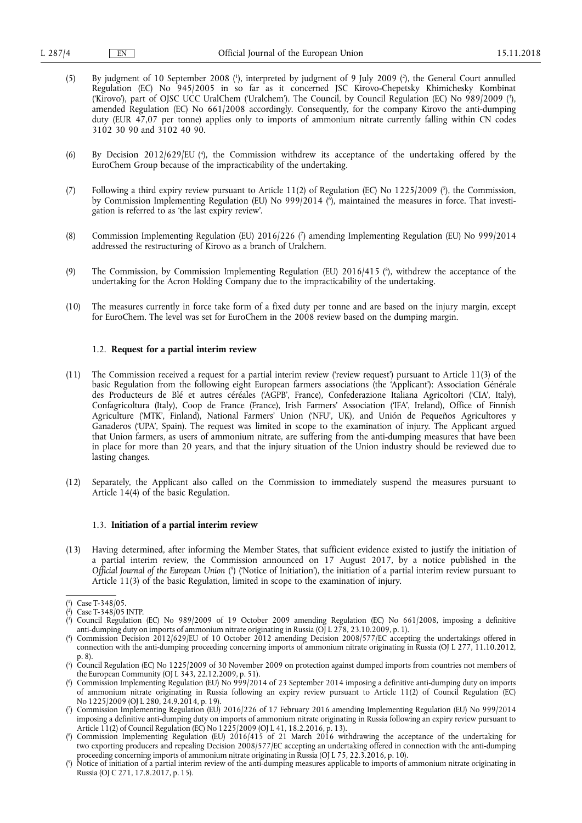- (5) By judgment of 10 September 2008 ( 1 ), interpreted by judgment of 9 July 2009 ( 2 ), the General Court annulled Regulation (EC) No 945/2005 in so far as it concerned JSC Kirovo-Chepetsky Khimichesky Kombinat ('Kirovo'), part of OJSC UCC UralChem ('Uralchem'). The Council, by Council Regulation (EC) No 989/2009 ( 3 ), amended Regulation (EC) No 661/2008 accordingly. Consequently, for the company Kirovo the anti-dumping duty (EUR 47,07 per tonne) applies only to imports of ammonium nitrate currently falling within CN codes 3102 30 90 and 3102 40 90.
- (6) By Decision 2012/629/EU ( 4 ), the Commission withdrew its acceptance of the undertaking offered by the EuroChem Group because of the impracticability of the undertaking.
- (7) Following a third expiry review pursuant to Article 11(2) of Regulation (EC) No 1225/2009 (<sup>5</sup>), the Commission, by Commission Implementing Regulation (EU) No 999/2014 ( 6 ), maintained the measures in force. That investigation is referred to as 'the last expiry review'.
- (8) Commission Implementing Regulation (EU) 2016/226 ( 7 ) amending Implementing Regulation (EU) No 999/2014 addressed the restructuring of Kirovo as a branch of Uralchem.
- (9) The Commission, by Commission Implementing Regulation (EU) 2016/415 ( 8 ), withdrew the acceptance of the undertaking for the Acron Holding Company due to the impracticability of the undertaking.
- (10) The measures currently in force take form of a fixed duty per tonne and are based on the injury margin, except for EuroChem. The level was set for EuroChem in the 2008 review based on the dumping margin.

#### 1.2. **Request for a partial interim review**

- (11) The Commission received a request for a partial interim review ('review request') pursuant to Article 11(3) of the basic Regulation from the following eight European farmers associations (the 'Applicant'): Association Générale des Producteurs de Blé et autres céréales ('AGPB', France), Confederazione Italiana Agricoltori ('CIA', Italy), Confagricoltura (Italy), Coop de France (France), Irish Farmers' Association ('IFA', Ireland), Office of Finnish Agriculture ('MTK', Finland), National Farmers' Union ('NFU', UK), and Unión de Pequeños Agricultores y Ganaderos ('UPA', Spain). The request was limited in scope to the examination of injury. The Applicant argued that Union farmers, as users of ammonium nitrate, are suffering from the anti-dumping measures that have been in place for more than 20 years, and that the injury situation of the Union industry should be reviewed due to lasting changes.
- (12) Separately, the Applicant also called on the Commission to immediately suspend the measures pursuant to Article 14(4) of the basic Regulation.

#### 1.3. **Initiation of a partial interim review**

(13) Having determined, after informing the Member States, that sufficient evidence existed to justify the initiation of a partial interim review, the Commission announced on 17 August 2017, by a notice published in the *Official Journal of the European Union* ( 9 ) ('Notice of Initiation'), the initiation of a partial interim review pursuant to Article 11(3) of the basic Regulation, limited in scope to the examination of injury.

( 3 ) Council Regulation (EC) No 989/2009 of 19 October 2009 amending Regulation (EC) No 661/2008, imposing a definitive anti-dumping duty on imports of ammonium nitrate originating in Russia (OJ L 278, 23.10.2009, p. 1).

<sup>(</sup> 1 ) Case T-348/05.

<sup>(</sup> 2 ) Case T-348/05 INTP.

<sup>(</sup> 4 ) Commission Decision 2012/629/EU of 10 October 2012 amending Decision 2008/577/EC accepting the undertakings offered in connection with the anti-dumping proceeding concerning imports of ammonium nitrate originating in Russia (OJ L 277, 11.10.2012, p. 8).

<sup>(</sup> 5 ) Council Regulation (EC) No 1225/2009 of 30 November 2009 on protection against dumped imports from countries not members of the European Community (OJ L 343, 22.12.2009, p. 51).

<sup>(</sup> 6 ) Commission Implementing Regulation (EU) No 999/2014 of 23 September 2014 imposing a definitive anti-dumping duty on imports of ammonium nitrate originating in Russia following an expiry review pursuant to Article 11(2) of Council Regulation (EC) No 1225/2009 (OJ L 280, 24.9.2014, p. 19).

<sup>(</sup> 7 ) Commission Implementing Regulation (EU) 2016/226 of 17 February 2016 amending Implementing Regulation (EU) No 999/2014 imposing a definitive anti-dumping duty on imports of ammonium nitrate originating in Russia following an expiry review pursuant to Article 11(2) of Council Regulation (EC) No 1225/2009 (OJ L 41, 18.2.2016, p. 13).

<sup>(</sup> 8 ) Commission Implementing Regulation (EU) 2016/415 of 21 March 2016 withdrawing the acceptance of the undertaking for two exporting producers and repealing Decision 2008/577/EC accepting an undertaking offered in connection with the anti-dumping proceeding concerning imports of ammonium nitrate originating in Russia (OJ L 75, 22.3.2016, p. 10).

<sup>(</sup> 9 ) Notice of initiation of a partial interim review of the anti-dumping measures applicable to imports of ammonium nitrate originating in Russia (OJ C 271, 17.8.2017, p. 15).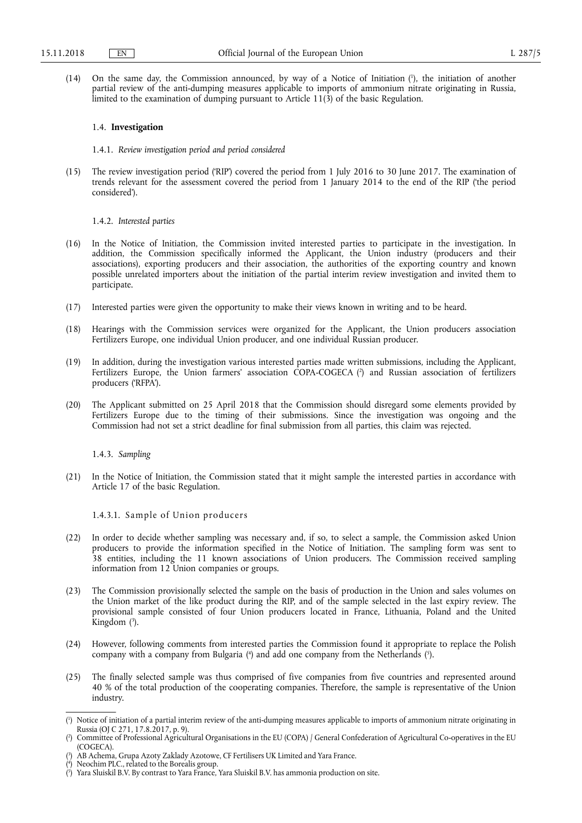(14) On the same day, the Commission announced, by way of a Notice of Initiation ( 1 ), the initiation of another partial review of the anti-dumping measures applicable to imports of ammonium nitrate originating in Russia, limited to the examination of dumping pursuant to Article 11(3) of the basic Regulation.

#### 1.4. **Investigation**

1.4.1. *Review investigation period and period considered* 

(15) The review investigation period ('RIP') covered the period from 1 July 2016 to 30 June 2017. The examination of trends relevant for the assessment covered the period from 1 January 2014 to the end of the RIP ('the period considered').

1.4.2. *Interested parties* 

- (16) In the Notice of Initiation, the Commission invited interested parties to participate in the investigation. In addition, the Commission specifically informed the Applicant, the Union industry (producers and their associations), exporting producers and their association, the authorities of the exporting country and known possible unrelated importers about the initiation of the partial interim review investigation and invited them to participate.
- (17) Interested parties were given the opportunity to make their views known in writing and to be heard.
- (18) Hearings with the Commission services were organized for the Applicant, the Union producers association Fertilizers Europe, one individual Union producer, and one individual Russian producer.
- (19) In addition, during the investigation various interested parties made written submissions, including the Applicant, Fertilizers Europe, the Union farmers' association COPA-COGECA ( 2 ) and Russian association of fertilizers producers ('RFPA').
- (20) The Applicant submitted on 25 April 2018 that the Commission should disregard some elements provided by Fertilizers Europe due to the timing of their submissions. Since the investigation was ongoing and the Commission had not set a strict deadline for final submission from all parties, this claim was rejected.

1.4.3. *Sampling* 

(21) In the Notice of Initiation, the Commission stated that it might sample the interested parties in accordance with Article 17 of the basic Regulation.

1.4.3.1. Sample of Union producers

- (22) In order to decide whether sampling was necessary and, if so, to select a sample, the Commission asked Union producers to provide the information specified in the Notice of Initiation. The sampling form was sent to 38 entities, including the 11 known associations of Union producers. The Commission received sampling information from 12 Union companies or groups.
- (23) The Commission provisionally selected the sample on the basis of production in the Union and sales volumes on the Union market of the like product during the RIP, and of the sample selected in the last expiry review. The provisional sample consisted of four Union producers located in France, Lithuania, Poland and the United Kingdom ( 3 ).
- (24) However, following comments from interested parties the Commission found it appropriate to replace the Polish company with a company from Bulgaria (<sup>4</sup>) and add one company from the Netherlands (<sup>5</sup>).
- (25) The finally selected sample was thus comprised of five companies from five countries and represented around 40 % of the total production of the cooperating companies. Therefore, the sample is representative of the Union industry.

<sup>(</sup> 1 ) Notice of initiation of a partial interim review of the anti-dumping measures applicable to imports of ammonium nitrate originating in Russia (OJ C 271, 17.8.2017, p. 9).

<sup>(</sup> 2 ) Committee of Professional Agricultural Organisations in the EU (COPA) / General Confederation of Agricultural Co-operatives in the EU (COGECA).

<sup>(</sup> 3 ) AB Achema, Grupa Azoty Zaklady Azotowe, CF Fertilisers UK Limited and Yara France.

<sup>(</sup> 4 ) Neochim PLC., related to the Borealis group.

<sup>(</sup> 5 ) Yara Sluiskil B.V. By contrast to Yara France, Yara Sluiskil B.V. has ammonia production on site.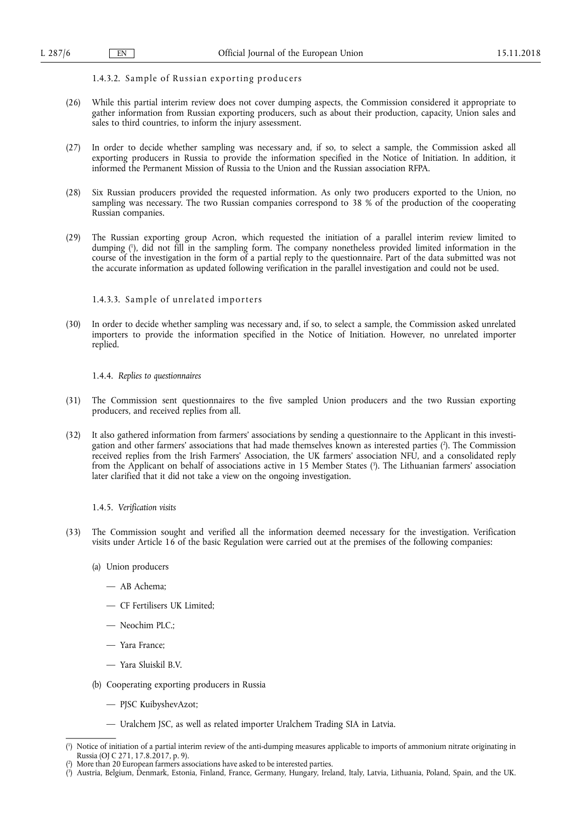# 1.4.3.2. Sample of Russian exporting producers

- (26) While this partial interim review does not cover dumping aspects, the Commission considered it appropriate to gather information from Russian exporting producers, such as about their production, capacity, Union sales and sales to third countries, to inform the injury assessment.
- (27) In order to decide whether sampling was necessary and, if so, to select a sample, the Commission asked all exporting producers in Russia to provide the information specified in the Notice of Initiation. In addition, it informed the Permanent Mission of Russia to the Union and the Russian association RFPA.
- (28) Six Russian producers provided the requested information. As only two producers exported to the Union, no sampling was necessary. The two Russian companies correspond to 38 % of the production of the cooperating Russian companies.
- (29) The Russian exporting group Acron, which requested the initiation of a parallel interim review limited to dumping ( 1 ), did not fill in the sampling form. The company nonetheless provided limited information in the course of the investigation in the form of a partial reply to the questionnaire. Part of the data submitted was not the accurate information as updated following verification in the parallel investigation and could not be used.

### 1.4.3.3. Sample of unrelated importers

(30) In order to decide whether sampling was necessary and, if so, to select a sample, the Commission asked unrelated importers to provide the information specified in the Notice of Initiation. However, no unrelated importer replied.

#### 1.4.4. *Replies to questionnaires*

- (31) The Commission sent questionnaires to the five sampled Union producers and the two Russian exporting producers, and received replies from all.
- (32) It also gathered information from farmers' associations by sending a questionnaire to the Applicant in this investigation and other farmers' associations that had made themselves known as interested parties ( 2 ). The Commission received replies from the Irish Farmers' Association, the UK farmers' association NFU, and a consolidated reply from the Applicant on behalf of associations active in 15 Member States ( 3 ). The Lithuanian farmers' association later clarified that it did not take a view on the ongoing investigation.

# 1.4.5. *Verification visits*

- (33) The Commission sought and verified all the information deemed necessary for the investigation. Verification visits under Article 16 of the basic Regulation were carried out at the premises of the following companies:
	- (a) Union producers
		- AB Achema;
		- CF Fertilisers UK Limited;
		- Neochim PLC.;
		- Yara France;
		- Yara Sluiskil B.V.
	- (b) Cooperating exporting producers in Russia
		- PJSC KuibyshevAzot;
		- Uralchem JSC, as well as related importer Uralchem Trading SIA in Latvia.

<sup>(</sup> 1 ) Notice of initiation of a partial interim review of the anti-dumping measures applicable to imports of ammonium nitrate originating in Russia (OJ C 271, 17.8.2017, p. 9).

<sup>(</sup> 2 ) More than 20 European farmers associations have asked to be interested parties.

<sup>(</sup> 3 ) Austria, Belgium, Denmark, Estonia, Finland, France, Germany, Hungary, Ireland, Italy, Latvia, Lithuania, Poland, Spain, and the UK.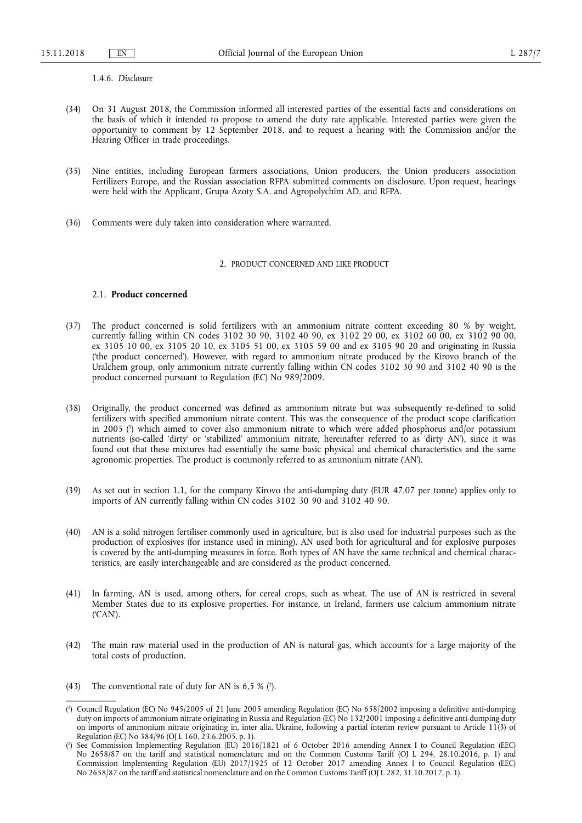1.4.6. *Disclosure* 

- (34) On 31 August 2018, the Commission informed all interested parties of the essential facts and considerations on the basis of which it intended to propose to amend the duty rate applicable. Interested parties were given the opportunity to comment by 12 September 2018, and to request a hearing with the Commission and/or the Hearing Officer in trade proceedings.
- (35) Nine entities, including European farmers associations, Union producers, the Union producers association Fertilizers Europe, and the Russian association RFPA submitted comments on disclosure. Upon request, hearings were held with the Applicant, Grupa Azoty S.A. and Agropolychim AD, and RFPA.
- (36) Comments were duly taken into consideration where warranted.

#### 2. PRODUCT CONCERNED AND LIKE PRODUCT

## 2.1. **Product concerned**

- (37) The product concerned is solid fertilizers with an ammonium nitrate content exceeding 80 % by weight, currently falling within CN codes 3102 30 90, 3102 40 90, ex 3102 29 00, ex 3102 60 00, ex 3102 90 00, ex 3105 10 00, ex 3105 20 10, ex 3105 51 00, ex 3105 59 00 and ex 3105 90 20 and originating in Russia ('the product concerned'). However, with regard to ammonium nitrate produced by the Kirovo branch of the Uralchem group, only ammonium nitrate currently falling within CN codes 3102 30 90 and 3102 40 90 is the product concerned pursuant to Regulation (EC) No 989/2009.
- (38) Originally, the product concerned was defined as ammonium nitrate but was subsequently re-defined to solid fertilizers with specified ammonium nitrate content. This was the consequence of the product scope clarification in 2005 ( 1 ) which aimed to cover also ammonium nitrate to which were added phosphorus and/or potassium nutrients (so-called 'dirty' or 'stabilized' ammonium nitrate, hereinafter referred to as 'dirty AN'), since it was found out that these mixtures had essentially the same basic physical and chemical characteristics and the same agronomic properties. The product is commonly referred to as ammonium nitrate ('AN').
- (39) As set out in section 1.1, for the company Kirovo the anti-dumping duty (EUR 47,07 per tonne) applies only to imports of AN currently falling within CN codes 3102 30 90 and 3102 40 90.
- (40) AN is a solid nitrogen fertiliser commonly used in agriculture, but is also used for industrial purposes such as the production of explosives (for instance used in mining). AN used both for agricultural and for explosive purposes is covered by the anti-dumping measures in force. Both types of AN have the same technical and chemical characteristics, are easily interchangeable and are considered as the product concerned.
- (41) In farming, AN is used, among others, for cereal crops, such as wheat. The use of AN is restricted in several Member States due to its explosive properties. For instance, in Ireland, farmers use calcium ammonium nitrate ('CAN').
- (42) The main raw material used in the production of AN is natural gas, which accounts for a large majority of the total costs of production.
- (43) The conventional rate of duty for AN is  $6.5 \%$  ( $\textdegree$ ).

<sup>(</sup> 1 ) Council Regulation (EC) No 945/2005 of 21 June 2005 amending Regulation (EC) No 658/2002 imposing a definitive anti-dumping duty on imports of ammonium nitrate originating in Russia and Regulation (EC) No 132/2001 imposing a definitive anti-dumping duty on imports of ammonium nitrate originating in, inter alia, Ukraine, following a partial interim review pursuant to Article 11(3) of Regulation (EC) No 384/96 (OJ L 160, 23.6.2005, p. 1).

<sup>(</sup> 2 ) See Commission Implementing Regulation (EU) 2016/1821 of 6 October 2016 amending Annex I to Council Regulation (EEC) No 2658/87 on the tariff and statistical nomenclature and on the Common Customs Tariff (OJ L 294, 28.10.2016, p. 1) and Commission Implementing Regulation (EU) 2017/1925 of 12 October 2017 amending Annex I to Council Regulation (EEC) No 2658/87 on the tariff and statistical nomenclature and on the Common Customs Tariff (OJ L 282, 31.10.2017, p. 1).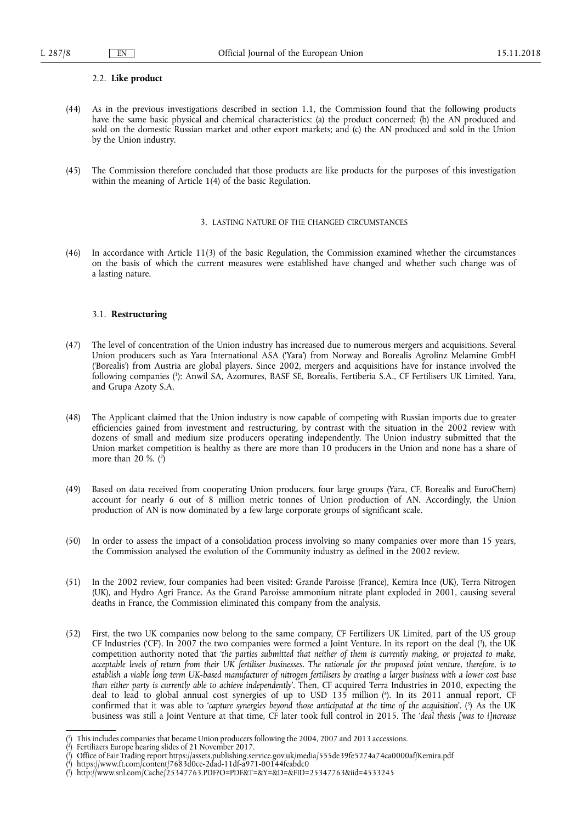#### 2.2. **Like product**

- (44) As in the previous investigations described in section 1.1, the Commission found that the following products have the same basic physical and chemical characteristics: (a) the product concerned; (b) the AN produced and sold on the domestic Russian market and other export markets; and (c) the AN produced and sold in the Union by the Union industry.
- (45) The Commission therefore concluded that those products are like products for the purposes of this investigation within the meaning of Article 1(4) of the basic Regulation.

#### 3. LASTING NATURE OF THE CHANGED CIRCUMSTANCES

(46) In accordance with Article 11(3) of the basic Regulation, the Commission examined whether the circumstances on the basis of which the current measures were established have changed and whether such change was of a lasting nature.

#### 3.1. **Restructuring**

- (47) The level of concentration of the Union industry has increased due to numerous mergers and acquisitions. Several Union producers such as Yara International ASA ('Yara') from Norway and Borealis Agrolinz Melamine GmbH ('Borealis') from Austria are global players. Since 2002, mergers and acquisitions have for instance involved the following companies ( 1 ): Anwil SA, Azomures, BASF SE, Borealis, Fertiberia S.A., CF Fertilisers UK Limited, Yara, and Grupa Azoty S.A.
- (48) The Applicant claimed that the Union industry is now capable of competing with Russian imports due to greater efficiencies gained from investment and restructuring, by contrast with the situation in the 2002 review with dozens of small and medium size producers operating independently. The Union industry submitted that the Union market competition is healthy as there are more than 10 producers in the Union and none has a share of more than 20 %. ( 2 )
- (49) Based on data received from cooperating Union producers, four large groups (Yara, CF, Borealis and EuroChem) account for nearly 6 out of 8 million metric tonnes of Union production of AN. Accordingly, the Union production of AN is now dominated by a few large corporate groups of significant scale.
- (50) In order to assess the impact of a consolidation process involving so many companies over more than 15 years, the Commission analysed the evolution of the Community industry as defined in the 2002 review.
- (51) In the 2002 review, four companies had been visited: Grande Paroisse (France), Kemira Ince (UK), Terra Nitrogen (UK), and Hydro Agri France. As the Grand Paroisse ammonium nitrate plant exploded in 2001, causing several deaths in France, the Commission eliminated this company from the analysis.
- (52) First, the two UK companies now belong to the same company, CF Fertilizers UK Limited, part of the US group CF Industries ('CF'). In 2007 the two companies were formed a Joint Venture. In its report on the deal (?), the UK competition authority noted that '*the parties submitted that neither of them is currently making, or projected to make, acceptable levels of return from their UK fertiliser businesses. The rationale for the proposed joint venture, therefore, is to establish a viable long term UK-based manufacturer of nitrogen fertilisers by creating a larger business with a lower cost base than either party is currently able to achieve independently*'. Then, CF acquired Terra Industries in 2010, expecting the deal to lead to global annual cost synergies of up to USD 135 million ( 4 ). In its 2011 annual report, CF confirmed that it was able to *'capture synergies beyond those anticipated at the time of the acquisition*'. (5) As the UK business was still a Joint Venture at that time, CF later took full control in 2015. The '*deal thesis [was to i]ncrease*

<sup>(</sup> 1 ) This includes companies that became Union producers following the 2004, 2007 and 2013 accessions.

<sup>(</sup> 2 ) Fertilizers Europe hearing slides of 21 November 2017.

<sup>(</sup> 3 ) Office of Fair Trading report <https://assets.publishing.service.gov.uk/media/555de39fe5274a74ca0000af/Kemira.pdf>

<sup>(</sup> 4 ) <https://www.ft.com/content/7683d0ce-2dad-11df-a971-00144feabdc0>

<sup>(</sup> 5 ) <http://www.snl.com/Cache/25347763.PDF?O=PDF&T=&Y=&D=&FID=25347763&iid=4533245>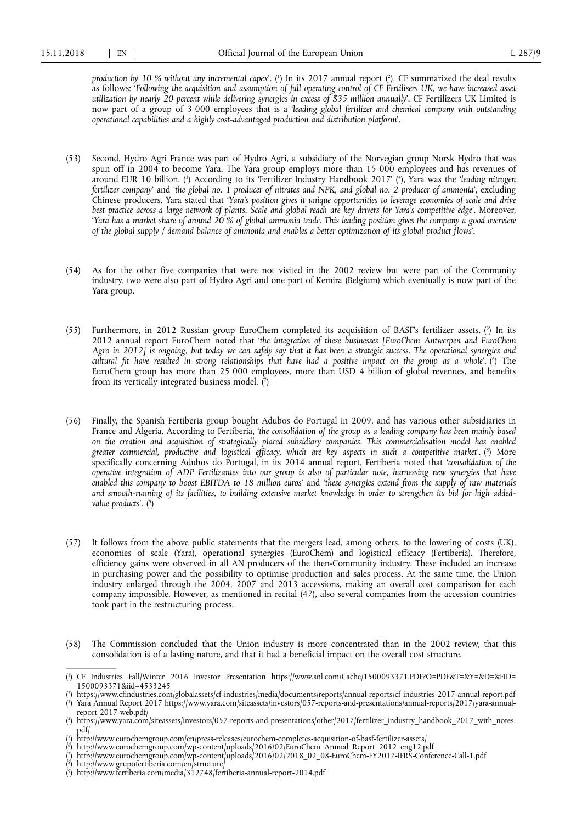production by 10 % without any incremental capex'. (<sup>1</sup>) In its 2017 annual report (<sup>2</sup>), CF summarized the deal results as follows: '*Following the acquisition and assumption of full operating control of CF Fertilisers UK, we have increased asset utilization by nearly 20 percent while delivering synergies in excess of \$35 million annually*'. CF Fertilizers UK Limited is now part of a group of 3 000 employees that is a '*leading global fertilizer and chemical company with outstanding operational capabilities and a highly cost-advantaged production and distribution platform*'.

- (53) Second, Hydro Agri France was part of Hydro Agri, a subsidiary of the Norvegian group Norsk Hydro that was spun off in 2004 to become Yara. The Yara group employs more than 15 000 employees and has revenues of around EUR 10 billion. (<sup>3</sup>) According to its 'Fertilizer Industry Handbook 2017' (<sup>4</sup>), Yara was the '*leading nitrogen fertilizer company*' and '*the global no. 1 producer of nitrates and NPK, and global no. 2 producer of ammonia*', excluding Chinese producers. Yara stated that '*Yara's position gives it unique opportunities to leverage economies of scale and drive best practice across a large network of plants. Scale and global reach are key drivers for Yara's competitive edge*'. Moreover, '*Yara has a market share of around 20 % of global ammonia trade. This leading position gives the company a good overview of the global supply / demand balance of ammonia and enables a better optimization of its global product flows*'.
- (54) As for the other five companies that were not visited in the 2002 review but were part of the Community industry, two were also part of Hydro Agri and one part of Kemira (Belgium) which eventually is now part of the Yara group.
- (55) Furthermore, in 2012 Russian group EuroChem completed its acquisition of BASF's fertilizer assets. (5) In its 2012 annual report EuroChem noted that '*the integration of these businesses [EuroChem Antwerpen and EuroChem Agro in 2012] is ongoing, but today we can safely say that it has been a strategic success. The operational synergies and cultural fit have resulted in strong relationships that have had a positive impact on the group as a whole*'. ( 6 ) The EuroChem group has more than 25 000 employees, more than USD 4 billion of global revenues, and benefits from its vertically integrated business model. ( 7 )
- (56) Finally, the Spanish Fertiberia group bought Adubos do Portugal in 2009, and has various other subsidiaries in France and Algeria. According to Fertiberia, '*the consolidation of the group as a leading company has been mainly based on the creation and acquisition of strategically placed subsidiary companies. This commercialisation model has enabled greater commercial, productive and logistical efficacy, which are key aspects in such a competitive market*'. ( 8 ) More specifically concerning Adubos do Portugal, in its 2014 annual report, Fertiberia noted that '*consolidation of the operative integration of ADP Fertilizantes into our group is also of particular note, harnessing new synergies that have enabled this company to boost EBITDA to 18 million euros*' and '*these synergies extend from the supply of raw materials and smooth-running of its facilities, to building extensive market knowledge in order to strengthen its bid for high addedvalue products*'. ( 9 )
- (57) It follows from the above public statements that the mergers lead, among others, to the lowering of costs (UK), economies of scale (Yara), operational synergies (EuroChem) and logistical efficacy (Fertiberia). Therefore, efficiency gains were observed in all AN producers of the then-Community industry. These included an increase in purchasing power and the possibility to optimise production and sales process. At the same time, the Union industry enlarged through the 2004, 2007 and 2013 accessions, making an overall cost comparison for each company impossible. However, as mentioned in recital (47), also several companies from the accession countries took part in the restructuring process.
- (58) The Commission concluded that the Union industry is more concentrated than in the 2002 review, that this consolidation is of a lasting nature, and that it had a beneficial impact on the overall cost structure.

( 6 ) [http://www.eurochemgroup.com/wp-content/uploads/2016/02/EuroChem\\_Annual\\_Report\\_2012\\_eng12.pdf](http://www.eurochemgroup.com/wp-content/uploads/2016/02/EuroChem_Annual_Report_2012_eng12.pdf) 

( 8 ) <http://www.grupofertiberia.com/en/structure/>

<sup>(</sup> 1 ) CF Industries Fall/Winter 2016 Investor Presentation [https://www.snl.com/Cache/1500093371.PDF?O=PDF&T=&Y=&D=&FID=](https://www.snl.com/Cache/1500093371.PDF?O=PDF&T=&Y=&D=&FID=1500093371&iid=4533245)  [1500093371&iid=4533245](https://www.snl.com/Cache/1500093371.PDF?O=PDF&T=&Y=&D=&FID=1500093371&iid=4533245) 

<sup>(</sup> 2 ) <https://www.cfindustries.com/globalassets/cf-industries/media/documents/reports/annual-reports/cf-industries-2017-annual-report.pdf> ( 3 ) Yara Annual Report 2017 [https://www.yara.com/siteassets/investors/057-reports-and-presentations/annual-reports/2017/yara-annual-](https://www.yara.com/siteassets/investors/057-reports-and-presentations/annual-reports/2017/yara-annual-report-2017-web.pdf/)

[report-2017-web.pdf/](https://www.yara.com/siteassets/investors/057-reports-and-presentations/annual-reports/2017/yara-annual-report-2017-web.pdf/) 

<sup>(</sup> 4 ) [https://www.yara.com/siteassets/investors/057-reports-and-presentations/other/2017/fertilizer\\_industry\\_handbook\\_2017\\_with\\_notes.](https://www.yara.com/siteassets/investors/057-reports-and-presentations/other/2017/fertilizer_industry_handbook_2017_with_notes.pdf/)  [pdf/](https://www.yara.com/siteassets/investors/057-reports-and-presentations/other/2017/fertilizer_industry_handbook_2017_with_notes.pdf/)

<sup>(</sup> 5 ) <http://www.eurochemgroup.com/en/press-releases/eurochem-completes-acquisition-of-basf-fertilizer-assets/>

<sup>(</sup> 7 ) [http://www.eurochemgroup.com/wp-content/uploads/2016/02/2018\\_02\\_08-EuroChem-FY2017-IFRS-Conference-Call-1.pdf](http://www.eurochemgroup.com/wp-content/uploads/2016/02/2018_02_08-EuroChem-FY2017-IFRS-Conference-Call-1.pdf) 

<sup>(</sup> 9 ) <http://www.fertiberia.com/media/312748/fertiberia-annual-report-2014.pdf>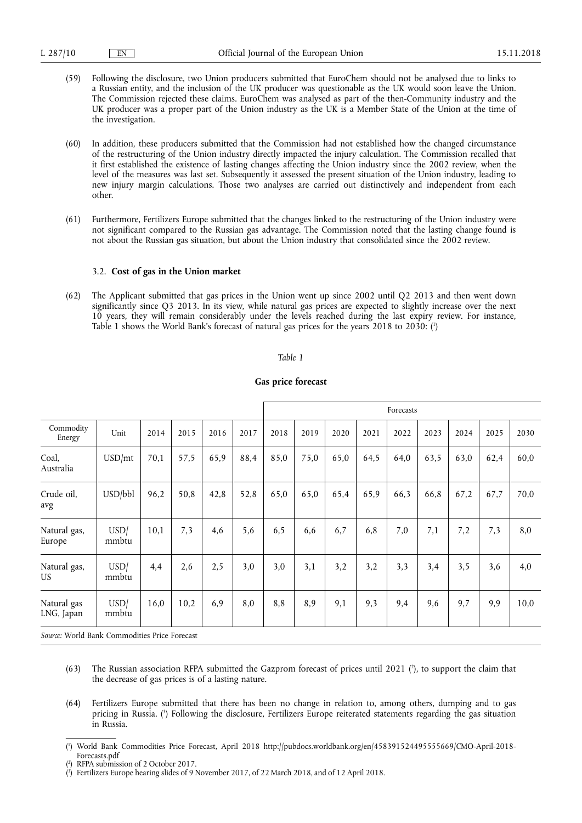- (59) Following the disclosure, two Union producers submitted that EuroChem should not be analysed due to links to a Russian entity, and the inclusion of the UK producer was questionable as the UK would soon leave the Union. The Commission rejected these claims. EuroChem was analysed as part of the then-Community industry and the UK producer was a proper part of the Union industry as the UK is a Member State of the Union at the time of the investigation.
- (60) In addition, these producers submitted that the Commission had not established how the changed circumstance of the restructuring of the Union industry directly impacted the injury calculation. The Commission recalled that it first established the existence of lasting changes affecting the Union industry since the 2002 review, when the level of the measures was last set. Subsequently it assessed the present situation of the Union industry, leading to new injury margin calculations. Those two analyses are carried out distinctively and independent from each other.
- (61) Furthermore, Fertilizers Europe submitted that the changes linked to the restructuring of the Union industry were not significant compared to the Russian gas advantage. The Commission noted that the lasting change found is not about the Russian gas situation, but about the Union industry that consolidated since the 2002 review.

### 3.2. **Cost of gas in the Union market**

(62) The Applicant submitted that gas prices in the Union went up since 2002 until Q2 2013 and then went down significantly since Q3 2013. In its view, while natural gas prices are expected to slightly increase over the next 10 years, they will remain considerably under the levels reached during the last expiry review. For instance, Table 1 shows the World Bank's forecast of natural gas prices for the years 2018 to 2030: ( 1 )

#### *Table 1*

|                           |               |      |      |      |      | Forecasts |      |      |      |      |      |      |      |      |
|---------------------------|---------------|------|------|------|------|-----------|------|------|------|------|------|------|------|------|
| Commodity<br>Energy       | Unit          | 2014 | 2015 | 2016 | 2017 | 2018      | 2019 | 2020 | 2021 | 2022 | 2023 | 2024 | 2025 | 2030 |
| Coal,<br>Australia        | USD/mt        | 70,1 | 57,5 | 65,9 | 88,4 | 85,0      | 75,0 | 65,0 | 64,5 | 64,0 | 63,5 | 63,0 | 62,4 | 60,0 |
| Crude oil,<br>avg         | USD/bbl       | 96,2 | 50,8 | 42,8 | 52,8 | 65,0      | 65,0 | 65,4 | 65,9 | 66,3 | 66,8 | 67,2 | 67,7 | 70,0 |
| Natural gas,<br>Europe    | USD/<br>mmbtu | 10,1 | 7,3  | 4,6  | 5,6  | 6, 5      | 6,6  | 6,7  | 6,8  | 7,0  | 7,1  | 7,2  | 7,3  | 8,0  |
| Natural gas,<br>US.       | USD/<br>mmbtu | 4,4  | 2,6  | 2,5  | 3,0  | 3,0       | 3,1  | 3,2  | 3,2  | 3,3  | 3,4  | 3,5  | 3,6  | 4,0  |
| Natural gas<br>LNG, Japan | USD/<br>mmbtu | 16,0 | 10,2 | 6,9  | 8,0  | 8,8       | 8,9  | 9,1  | 9,3  | 9,4  | 9,6  | 9,7  | 9,9  | 10,0 |

### **Gas price forecast**

*Source:* World Bank Commodities Price Forecast

- $(63)$  The Russian association RFPA submitted the Gazprom forecast of prices until 2021  $(?)$ , to support the claim that the decrease of gas prices is of a lasting nature.
- (64) Fertilizers Europe submitted that there has been no change in relation to, among others, dumping and to gas pricing in Russia. ( 3 ) Following the disclosure, Fertilizers Europe reiterated statements regarding the gas situation in Russia.
- ( 1 ) World Bank Commodities Price Forecast, April 2018 [http://pubdocs.worldbank.org/en/458391524495555669/CMO-April-2018-](http://pubdocs.worldbank.org/en/458391524495555669/CMO-April-2018-Forecasts.pdf)  [Forecasts.pdf](http://pubdocs.worldbank.org/en/458391524495555669/CMO-April-2018-Forecasts.pdf)

<sup>(</sup> 2 ) RFPA submission of 2 October 2017.

<sup>(</sup> 3 ) Fertilizers Europe hearing slides of 9 November 2017, of 22 March 2018, and of 12 April 2018.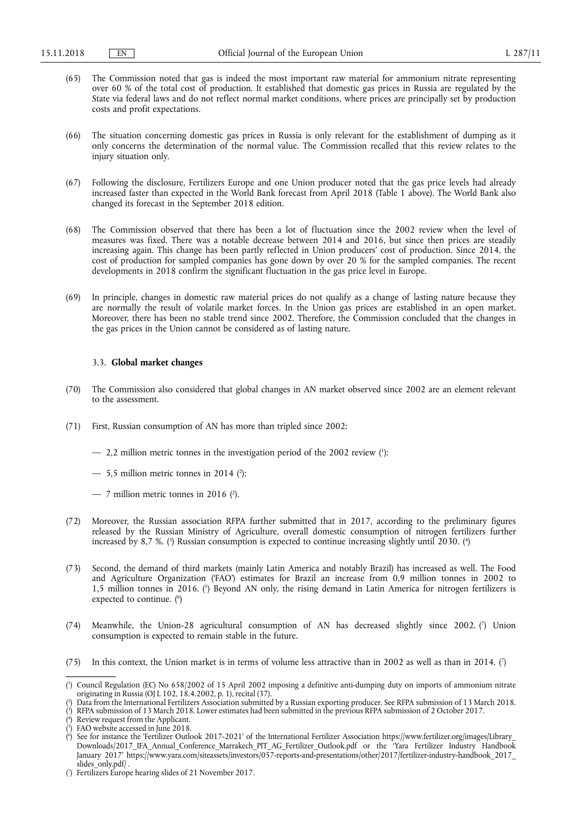- (65) The Commission noted that gas is indeed the most important raw material for ammonium nitrate representing over 60 % of the total cost of production. It established that domestic gas prices in Russia are regulated by the State via federal laws and do not reflect normal market conditions, where prices are principally set by production costs and profit expectations.
- (66) The situation concerning domestic gas prices in Russia is only relevant for the establishment of dumping as it only concerns the determination of the normal value. The Commission recalled that this review relates to the injury situation only.
- (67) Following the disclosure, Fertilizers Europe and one Union producer noted that the gas price levels had already increased faster than expected in the World Bank forecast from April 2018 (Table 1 above). The World Bank also changed its forecast in the September 2018 edition.
- (68) The Commission observed that there has been a lot of fluctuation since the 2002 review when the level of measures was fixed. There was a notable decrease between 2014 and 2016, but since then prices are steadily increasing again. This change has been partly reflected in Union producers' cost of production. Since 2014, the cost of production for sampled companies has gone down by over 20 % for the sampled companies. The recent developments in 2018 confirm the significant fluctuation in the gas price level in Europe.
- (69) In principle, changes in domestic raw material prices do not qualify as a change of lasting nature because they are normally the result of volatile market forces. In the Union gas prices are established in an open market. Moreover, there has been no stable trend since 2002. Therefore, the Commission concluded that the changes in the gas prices in the Union cannot be considered as of lasting nature.

#### 3.3. **Global market changes**

- (70) The Commission also considered that global changes in AN market observed since 2002 are an element relevant to the assessment.
- (71) First, Russian consumption of AN has more than tripled since 2002:
	- 2,2 million metric tonnes in the investigation period of the 2002 review ( 1 );
	- $-$  5,5 million metric tonnes in 2014 (2);
	- $-$  7 million metric tonnes in 2016 (?).
- (72) Moreover, the Russian association RFPA further submitted that in 2017, according to the preliminary figures released by the Russian Ministry of Agriculture, overall domestic consumption of nitrogen fertilizers further increased by 8,7 %. (3) Russian consumption is expected to continue increasing slightly until 2030. (4)
- (73) Second, the demand of third markets (mainly Latin America and notably Brazil) has increased as well. The Food and Agriculture Organization ('FAO') estimates for Brazil an increase from 0,9 million tonnes in 2002 to 1,5 million tonnes in 2016. ( 5 ) Beyond AN only, the rising demand in Latin America for nitrogen fertilizers is expected to continue. ( 6 )
- (74) Meanwhile, the Union-28 agricultural consumption of AN has decreased slightly since 2002. (7) Union consumption is expected to remain stable in the future.
- (75) In this context, the Union market is in terms of volume less attractive than in 2002 as well as than in 2014. ( $\dot{?}$ )

<sup>(</sup> 1 ) Council Regulation (EC) No 658/2002 of 15 April 2002 imposing a definitive anti-dumping duty on imports of ammonium nitrate originating in Russia (OJ L 102, 18.4.2002, p. 1), recital (37).

<sup>(</sup> 2 ) Data from the International Fertilizers Association submitted by a Russian exporting producer. See RFPA submission of 13 March 2018.

<sup>(</sup> 3 ) RFPA submission of 13 March 2018. Lower estimates had been submitted in the previous RFPA submission of 2 October 2017.

<sup>(</sup> 4 ) Review request from the Applicant.

<sup>(</sup> 5 ) FAO website accessed in June 2018.

<sup>(</sup> 6 ) See for instance the 'Fertilizer Outlook 2017-2021' of the International Fertilizer Association [https://www.fertilizer.org/images/Library\\_](https://www.fertilizer.org/images/Library_Downloads/2017_IFA_Annual_Conference_Marrakech_PIT_AG_Fertilizer_Outlook.pdf)  [Downloads/2017\\_IFA\\_Annual\\_Conference\\_Marrakech\\_PIT\\_AG\\_Fertilizer\\_Outlook.pdf](https://www.fertilizer.org/images/Library_Downloads/2017_IFA_Annual_Conference_Marrakech_PIT_AG_Fertilizer_Outlook.pdf) or the 'Yara Fertilizer Industry Handbook January 2017' [https://www.yara.com/siteassets/investors/057-reports-and-presentations/other/2017/fertilizer-industry-handbook\\_2017\\_](https://www.yara.com/siteassets/investors/057-reports-and-presentations/other/2017/fertilizer-industry-handbook_2017_slides_only.pdf/)  [slides\\_only.pdf/](https://www.yara.com/siteassets/investors/057-reports-and-presentations/other/2017/fertilizer-industry-handbook_2017_slides_only.pdf/).

<sup>(</sup> 7 ) Fertilizers Europe hearing slides of 21 November 2017.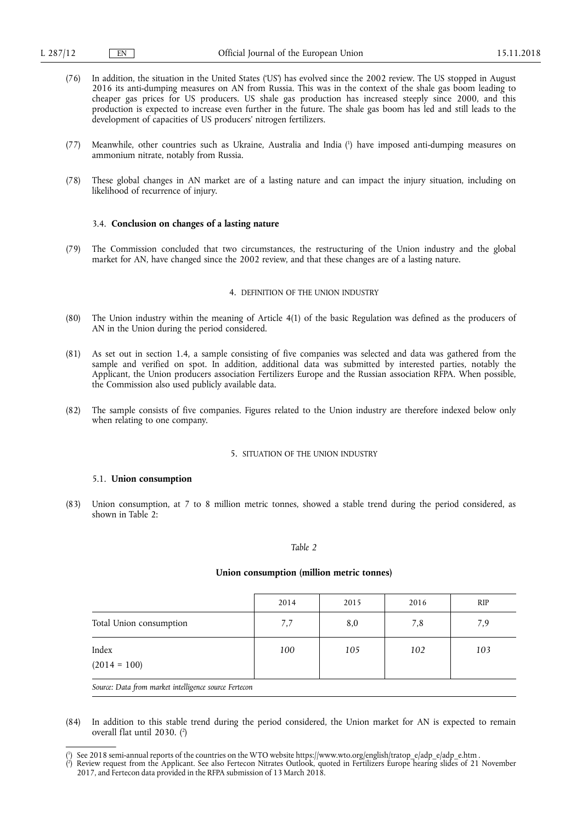- (76) In addition, the situation in the United States ('US') has evolved since the 2002 review. The US stopped in August 2016 its anti-dumping measures on AN from Russia. This was in the context of the shale gas boom leading to cheaper gas prices for US producers. US shale gas production has increased steeply since 2000, and this production is expected to increase even further in the future. The shale gas boom has led and still leads to the development of capacities of US producers' nitrogen fertilizers.
- (77) Meanwhile, other countries such as Ukraine, Australia and India ( 1 ) have imposed anti-dumping measures on ammonium nitrate, notably from Russia.
- (78) These global changes in AN market are of a lasting nature and can impact the injury situation, including on likelihood of recurrence of injury.

#### 3.4. **Conclusion on changes of a lasting nature**

(79) The Commission concluded that two circumstances, the restructuring of the Union industry and the global market for AN, have changed since the 2002 review, and that these changes are of a lasting nature.

#### 4. DEFINITION OF THE UNION INDUSTRY

- (80) The Union industry within the meaning of Article 4(1) of the basic Regulation was defined as the producers of AN in the Union during the period considered.
- (81) As set out in section 1.4, a sample consisting of five companies was selected and data was gathered from the sample and verified on spot. In addition, additional data was submitted by interested parties, notably the Applicant, the Union producers association Fertilizers Europe and the Russian association RFPA. When possible, the Commission also used publicly available data.
- (82) The sample consists of five companies. Figures related to the Union industry are therefore indexed below only when relating to one company.

## 5. SITUATION OF THE UNION INDUSTRY

#### 5.1. **Union consumption**

(83) Union consumption, at 7 to 8 million metric tonnes, showed a stable trend during the period considered, as shown in Table  $2:$ 

#### *Table 2*

#### **Union consumption (million metric tonnes)**

|                         | 2014 | 2015 | 2016 | <b>RIP</b> |
|-------------------------|------|------|------|------------|
| Total Union consumption | 7,7  | 8,0  | 7,8  | 7,9        |
| Index<br>$(2014 = 100)$ | 100  | 105  | 102  | 103        |

*Source: Data from market intelligence source Fertecon* 

(84) In addition to this stable trend during the period considered, the Union market for AN is expected to remain overall flat until 2030. ( 2 )

<sup>(&</sup>lt;sup>1</sup>) See 2018 semi-annual reports of the countries on the WTO website [https://www.wto.org/english/tratop\\_e/adp\\_e/adp\\_e.htm](https://www.wto.org/english/tratop_e/adp_e/adp_e.htm) .

<sup>(</sup> 2 ) Review request from the Applicant. See also Fertecon Nitrates Outlook, quoted in Fertilizers Europe hearing slides of 21 November 2017, and Fertecon data provided in the RFPA submission of 13 March 2018.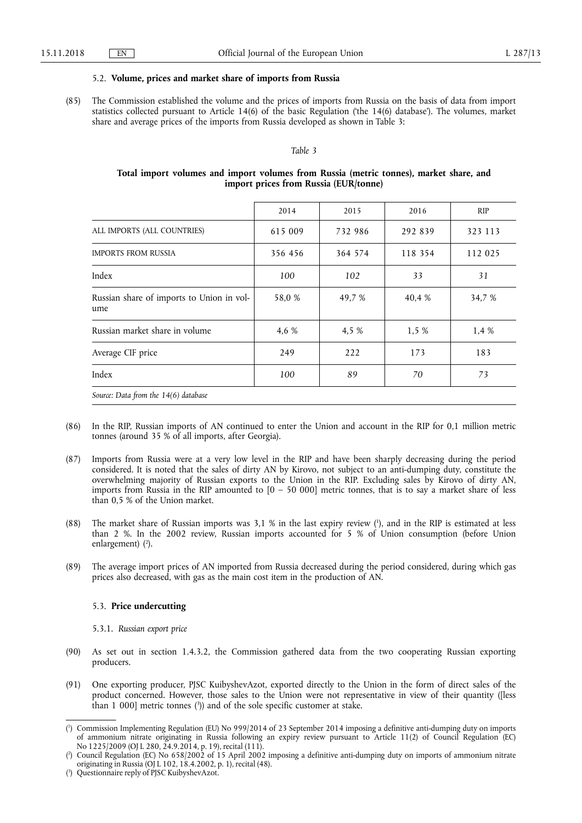#### 5.2. **Volume, prices and market share of imports from Russia**

(85) The Commission established the volume and the prices of imports from Russia on the basis of data from import statistics collected pursuant to Article 14(6) of the basic Regulation ('the 14(6) database'). The volumes, market share and average prices of the imports from Russia developed as shown in Table 3:

#### *Table 3*

### **Total import volumes and import volumes from Russia (metric tonnes), market share, and import prices from Russia (EUR/tonne)**

|                                                  | 2014    | 2015    | 2016    | <b>RIP</b> |
|--------------------------------------------------|---------|---------|---------|------------|
| ALL IMPORTS (ALL COUNTRIES)                      | 615 009 | 732 986 | 292 839 | 323 113    |
| <b>IMPORTS FROM RUSSIA</b>                       | 356 456 | 364 574 | 118 354 | 112 025    |
| Index                                            | 100     | 102     | 33      | 31         |
| Russian share of imports to Union in vol-<br>ume | 58,0 %  | 49,7 %  | 40,4 %  | 34,7 %     |
| Russian market share in volume                   | 4,6 %   | 4,5 %   | 1,5%    | 1.4 %      |
| Average CIF price                                | 249     | 222     | 173     | 183        |
| Index                                            | 100     | 89      | 70      | 73         |
| Source: Data from the 14(6) database             |         |         |         |            |

- (86) In the RIP, Russian imports of AN continued to enter the Union and account in the RIP for 0,1 million metric tonnes (around 35 % of all imports, after Georgia).
- (87) Imports from Russia were at a very low level in the RIP and have been sharply decreasing during the period considered. It is noted that the sales of dirty AN by Kirovo, not subject to an anti-dumping duty, constitute the overwhelming majority of Russian exports to the Union in the RIP. Excluding sales by Kirovo of dirty AN, imports from Russia in the RIP amounted to  $[0 - 50 000]$  metric tonnes, that is to say a market share of less than 0,5 % of the Union market.
- (88) The market share of Russian imports was 3,1 % in the last expiry review ( 1 ), and in the RIP is estimated at less than 2 %. In the 2002 review, Russian imports accounted for 5 % of Union consumption (before Union enlargement) ( 2 ).
- (89) The average import prices of AN imported from Russia decreased during the period considered, during which gas prices also decreased, with gas as the main cost item in the production of AN.

#### 5.3. **Price undercutting**

5.3.1. *Russian export price* 

- (90) As set out in section 1.4.3.2, the Commission gathered data from the two cooperating Russian exporting producers.
- (91) One exporting producer, PJSC KuibyshevAzot, exported directly to the Union in the form of direct sales of the product concerned. However, those sales to the Union were not representative in view of their quantity ([less than 1 000] metric tonnes ( 3 )) and of the sole specific customer at stake.

<sup>(</sup> 1 ) Commission Implementing Regulation (EU) No 999/2014 of 23 September 2014 imposing a definitive anti-dumping duty on imports of ammonium nitrate originating in Russia following an expiry review pursuant to Article 11(2) of Council Regulation (EC) No 1225/2009 (OJ L 280, 24.9.2014, p. 19), recital (111).

<sup>(</sup> 2 ) Council Regulation (EC) No 658/2002 of 15 April 2002 imposing a definitive anti-dumping duty on imports of ammonium nitrate originating in Russia (OJ L 102, 18.4.2002, p. 1), recital (48).

<sup>(</sup> 3 ) Questionnaire reply of PJSC KuibyshevAzot.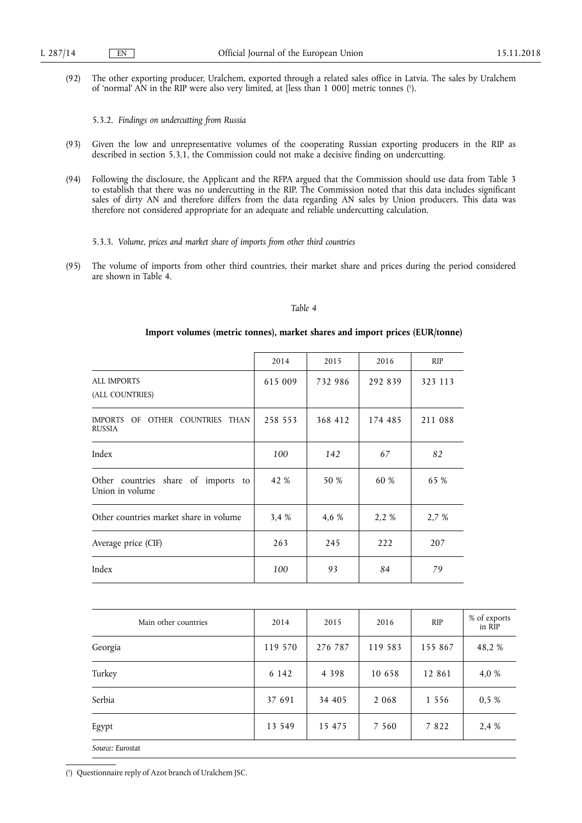(92) The other exporting producer, Uralchem, exported through a related sales office in Latvia. The sales by Uralchem of 'normal' AN in the RIP were also very limited, at [less than 1 000] metric tonnes ( 1 ).

5.3.2. *Findings on undercutting from Russia* 

- (93) Given the low and unrepresentative volumes of the cooperating Russian exporting producers in the RIP as described in section 5.3.1, the Commission could not make a decisive finding on undercutting.
- (94) Following the disclosure, the Applicant and the RFPA argued that the Commission should use data from Table 3 to establish that there was no undercutting in the RIP. The Commission noted that this data includes significant sales of dirty AN and therefore differs from the data regarding AN sales by Union producers. This data was therefore not considered appropriate for an adequate and reliable undercutting calculation.
	- 5.3.3. *Volume, prices and market share of imports from other third countries*
- (95) The volume of imports from other third countries, their market share and prices during the period considered are shown in Table 4.

### *Table 4*

#### **Import volumes (metric tonnes), market shares and import prices (EUR/tonne)**

|                                                        | 2014    | 2015    | 2016    | <b>RIP</b> |
|--------------------------------------------------------|---------|---------|---------|------------|
| <b>ALL IMPORTS</b><br>(ALL COUNTRIES)                  | 615 009 | 732 986 | 292 839 | 323 113    |
| IMPORTS OF OTHER COUNTRIES THAN<br><b>RUSSIA</b>       | 258 553 | 368 412 | 174 485 | 211 088    |
| Index                                                  | 100     | 142     | 67      | 82         |
| Other countries share of imports to<br>Union in volume | 42 %    | 50 %    | 60 %    | 65 %       |
| Other countries market share in volume                 | 3.4 %   | 4,6 %   | 2,2 %   | 2,7 %      |
| Average price (CIF)                                    | 263     | 245     | 222     | 207        |
| Index                                                  | 100     | 93      | 84      | 79         |

| Main other countries | 2014    | 2015    | 2016    | <b>RIP</b> | % of exports<br>in RIP |
|----------------------|---------|---------|---------|------------|------------------------|
| Georgia              | 119 570 | 276 787 | 119 583 | 155 867    | 48,2 %                 |
| Turkey               | 6 1 4 2 | 4 3 9 8 | 10 658  | 12 861     | 4,0 %                  |
| Serbia               | 37 691  | 34 405  | 2 0 6 8 | 1 5 5 6    | 0,5%                   |
| Egypt                | 13 549  | 15 475  | 7 5 6 0 | 7822       | 2.4 %                  |
| Source: Eurostat     |         |         |         |            |                        |

( 1 ) Questionnaire reply of Azot branch of Uralchem JSC.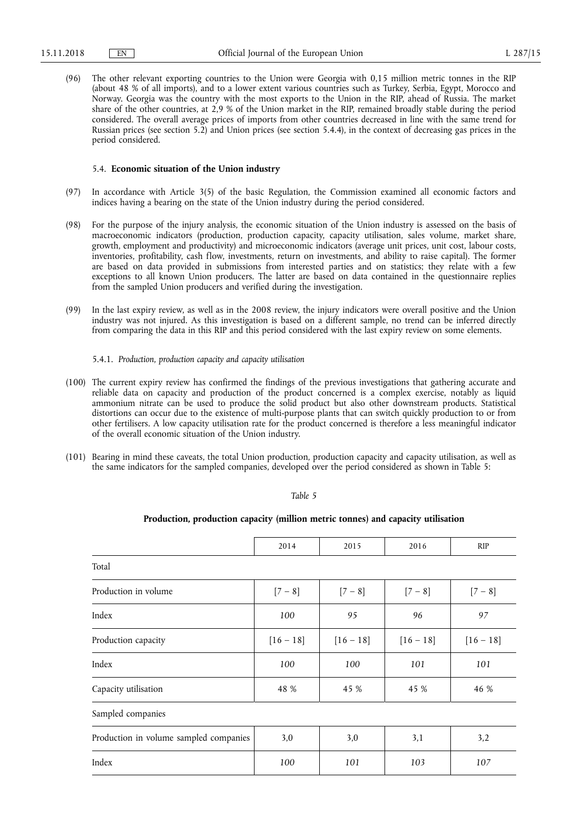(96) The other relevant exporting countries to the Union were Georgia with 0,15 million metric tonnes in the RIP (about 48 % of all imports), and to a lower extent various countries such as Turkey, Serbia, Egypt, Morocco and Norway. Georgia was the country with the most exports to the Union in the RIP, ahead of Russia. The market share of the other countries, at 2,9 % of the Union market in the RIP, remained broadly stable during the period considered. The overall average prices of imports from other countries decreased in line with the same trend for Russian prices (see section 5.2) and Union prices (see section 5.4.4), in the context of decreasing gas prices in the period considered.

#### 5.4. **Economic situation of the Union industry**

- (97) In accordance with Article 3(5) of the basic Regulation, the Commission examined all economic factors and indices having a bearing on the state of the Union industry during the period considered.
- (98) For the purpose of the injury analysis, the economic situation of the Union industry is assessed on the basis of macroeconomic indicators (production, production capacity, capacity utilisation, sales volume, market share, growth, employment and productivity) and microeconomic indicators (average unit prices, unit cost, labour costs, inventories, profitability, cash flow, investments, return on investments, and ability to raise capital). The former are based on data provided in submissions from interested parties and on statistics; they relate with a few exceptions to all known Union producers. The latter are based on data contained in the questionnaire replies from the sampled Union producers and verified during the investigation.
- (99) In the last expiry review, as well as in the 2008 review, the injury indicators were overall positive and the Union industry was not injured. As this investigation is based on a different sample, no trend can be inferred directly from comparing the data in this RIP and this period considered with the last expiry review on some elements.

#### 5.4.1. *Production, production capacity and capacity utilisation*

- (100) The current expiry review has confirmed the findings of the previous investigations that gathering accurate and reliable data on capacity and production of the product concerned is a complex exercise, notably as liquid ammonium nitrate can be used to produce the solid product but also other downstream products. Statistical distortions can occur due to the existence of multi-purpose plants that can switch quickly production to or from other fertilisers. A low capacity utilisation rate for the product concerned is therefore a less meaningful indicator of the overall economic situation of the Union industry.
- (101) Bearing in mind these caveats, the total Union production, production capacity and capacity utilisation, as well as the same indicators for the sampled companies, developed over the period considered as shown in Table 5:

#### *Table 5*

# **Production, production capacity (million metric tonnes) and capacity utilisation**

|                                        | 2014        | 2015        | 2016        | <b>RIP</b>  |  |  |  |  |
|----------------------------------------|-------------|-------------|-------------|-------------|--|--|--|--|
| Total                                  |             |             |             |             |  |  |  |  |
| Production in volume                   | $[7 - 8]$   | $[7 - 8]$   | $[7 - 8]$   | $[7 - 8]$   |  |  |  |  |
| Index                                  | 100         | 95          | 96          | 97          |  |  |  |  |
| Production capacity                    | $[16 - 18]$ | $[16 - 18]$ | $[16 - 18]$ | $[16 - 18]$ |  |  |  |  |
| Index                                  | 100         | 100         | 101         | 101         |  |  |  |  |
| Capacity utilisation                   | 48 %        | 45 %        | 45 %        | 46 %        |  |  |  |  |
| Sampled companies                      |             |             |             |             |  |  |  |  |
| Production in volume sampled companies | 3,0         | 3,0         | 3,1         | 3,2         |  |  |  |  |
| Index                                  | 100         | 101         | 103         | 107         |  |  |  |  |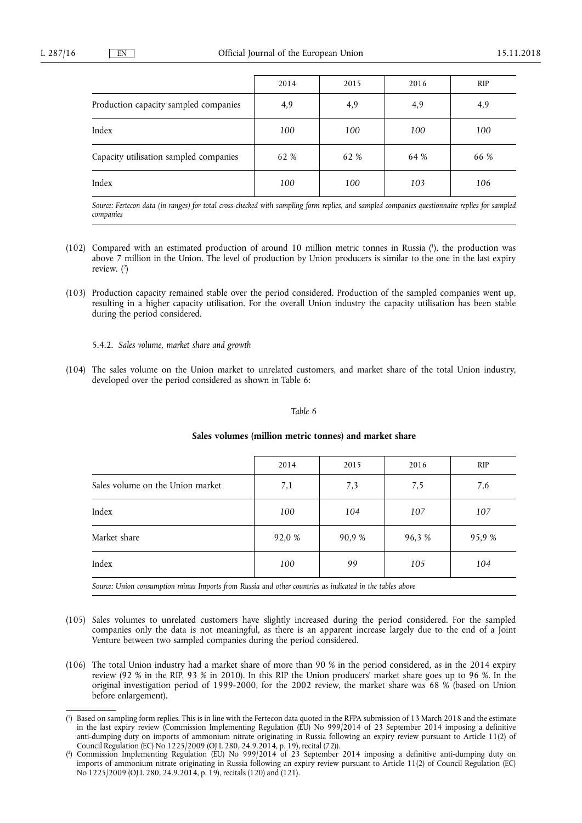|                                        | 2014 | 2015 | 2016 | <b>RIP</b> |
|----------------------------------------|------|------|------|------------|
| Production capacity sampled companies  | 4,9  | 4,9  | 4,9  | 4,9        |
| Index                                  | 100  | 100  | 100  | 100        |
| Capacity utilisation sampled companies | 62 % | 62 % | 64 % | 66 %       |
| Index                                  | 100  | 100  | 103  | 106        |

*Source: Fertecon data (in ranges) for total cross-checked with sampling form replies, and sampled companies questionnaire replies for sampled companies* 

- (102) Compared with an estimated production of around 10 million metric tonnes in Russia ( 1 ), the production was above 7 million in the Union. The level of production by Union producers is similar to the one in the last expiry review. ( 2 )
- (103) Production capacity remained stable over the period considered. Production of the sampled companies went up, resulting in a higher capacity utilisation. For the overall Union industry the capacity utilisation has been stable during the period considered.

5.4.2. *Sales volume, market share and growth* 

(104) The sales volume on the Union market to unrelated customers, and market share of the total Union industry, developed over the period considered as shown in Table 6:

#### *Table 6*

|                                                                                                          | 2014   | 2015   | 2016   | <b>RIP</b> |  |  |
|----------------------------------------------------------------------------------------------------------|--------|--------|--------|------------|--|--|
| Sales volume on the Union market                                                                         | 7,1    | 7,3    | 7,5    | 7,6        |  |  |
| Index                                                                                                    | 100    | 104    | 107    | 107        |  |  |
| Market share                                                                                             | 92,0 % | 90,9 % | 96.3 % | 95,9 %     |  |  |
| Index                                                                                                    | 100    | 99     | 105    | 104        |  |  |
| Source: Union consumption minus Imports from Russia and other countries as indicated in the tables above |        |        |        |            |  |  |

#### **Sales volumes (million metric tonnes) and market share**

- (105) Sales volumes to unrelated customers have slightly increased during the period considered. For the sampled companies only the data is not meaningful, as there is an apparent increase largely due to the end of a Joint Venture between two sampled companies during the period considered.
- (106) The total Union industry had a market share of more than 90 % in the period considered, as in the 2014 expiry review (92 % in the RIP, 93 % in 2010). In this RIP the Union producers' market share goes up to 96 %. In the original investigation period of 1999-2000, for the 2002 review, the market share was 68 % (based on Union before enlargement).

<sup>(</sup> 1 ) Based on sampling form replies. This is in line with the Fertecon data quoted in the RFPA submission of 13 March 2018 and the estimate in the last expiry review (Commission Implementing Regulation (EU) No 999/2014 of 23 September 2014 imposing a definitive anti-dumping duty on imports of ammonium nitrate originating in Russia following an expiry review pursuant to Article 11(2) of Council Regulation (EC) No 1225/2009 (OJ L 280, 24.9.2014, p. 19), recital (72)).

<sup>(</sup> 2 ) Commission Implementing Regulation (EU) No 999/2014 of 23 September 2014 imposing a definitive anti-dumping duty on imports of ammonium nitrate originating in Russia following an expiry review pursuant to Article 11(2) of Council Regulation (EC) No 1225/2009 (OJ L 280, 24.9.2014, p. 19), recitals (120) and (121).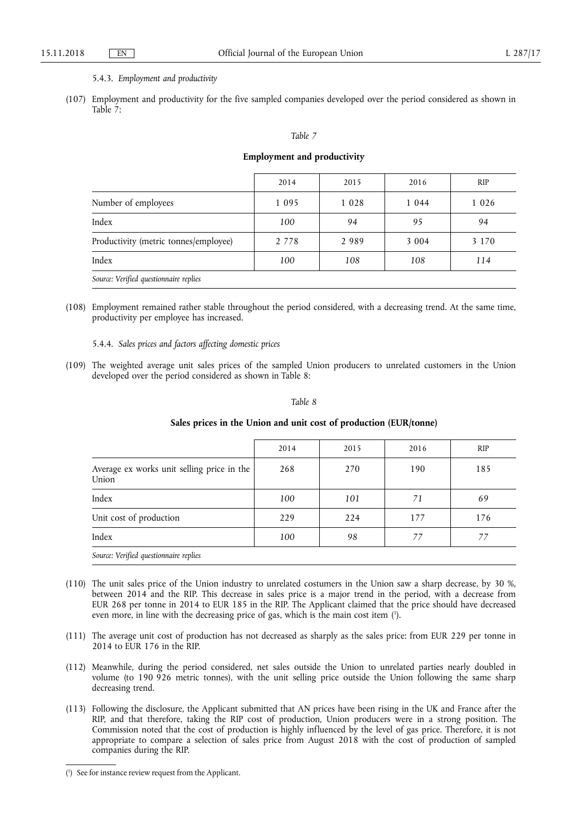### 5.4.3. *Employment and productivity*

(107) Employment and productivity for the five sampled companies developed over the period considered as shown in Table 7:

#### *Table 7*

### **Employment and productivity**

|                                        | 2014    | 2015    | 2016    | <b>RIP</b> |
|----------------------------------------|---------|---------|---------|------------|
| Number of employees                    | 1 0 9 5 | 1 0 2 8 | 1 0 4 4 | 1 0 2 6    |
| Index                                  | 100     | 94      | 95      | 94         |
| Productivity (metric tonnes/employee)  | 2 7 7 8 | 2989    | 3 0 0 4 | 3 1 7 0    |
| Index                                  | 100     | 108     | 108     | 114        |
| Source: Verified questionnaire replies |         |         |         |            |

(108) Employment remained rather stable throughout the period considered, with a decreasing trend. At the same time, productivity per employee has increased.

5.4.4. *Sales prices and factors affecting domestic prices* 

(109) The weighted average unit sales prices of the sampled Union producers to unrelated customers in the Union developed over the period considered as shown in Table 8:

# *Table 8*

|                                                     | 2014 | 2015 | 2016 | <b>RIP</b> |
|-----------------------------------------------------|------|------|------|------------|
| Average ex works unit selling price in the<br>Union | 268  | 270  | 190  | 185        |
| Index                                               | 100  | 101  | 71   | 69         |
| Unit cost of production                             | 229  | 224  | 177  | 176        |
| Index                                               | 100  | 98   | 77   |            |
| Source: Verified questionnaire replies              |      |      |      |            |

### **Sales prices in the Union and unit cost of production (EUR/tonne)**

- (110) The unit sales price of the Union industry to unrelated costumers in the Union saw a sharp decrease, by 30 %, between 2014 and the RIP. This decrease in sales price is a major trend in the period, with a decrease from EUR 268 per tonne in 2014 to EUR 185 in the RIP. The Applicant claimed that the price should have decreased even more, in line with the decreasing price of gas, which is the main cost item ( 1 ).
- (111) The average unit cost of production has not decreased as sharply as the sales price: from EUR 229 per tonne in 2014 to EUR 176 in the RIP.
- (112) Meanwhile, during the period considered, net sales outside the Union to unrelated parties nearly doubled in volume (to 190 926 metric tonnes), with the unit selling price outside the Union following the same sharp decreasing trend.
- (113) Following the disclosure, the Applicant submitted that AN prices have been rising in the UK and France after the RIP, and that therefore, taking the RIP cost of production, Union producers were in a strong position. The Commission noted that the cost of production is highly influenced by the level of gas price. Therefore, it is not appropriate to compare a selection of sales price from August 2018 with the cost of production of sampled companies during the RIP.

<sup>(</sup> 1 ) See for instance review request from the Applicant.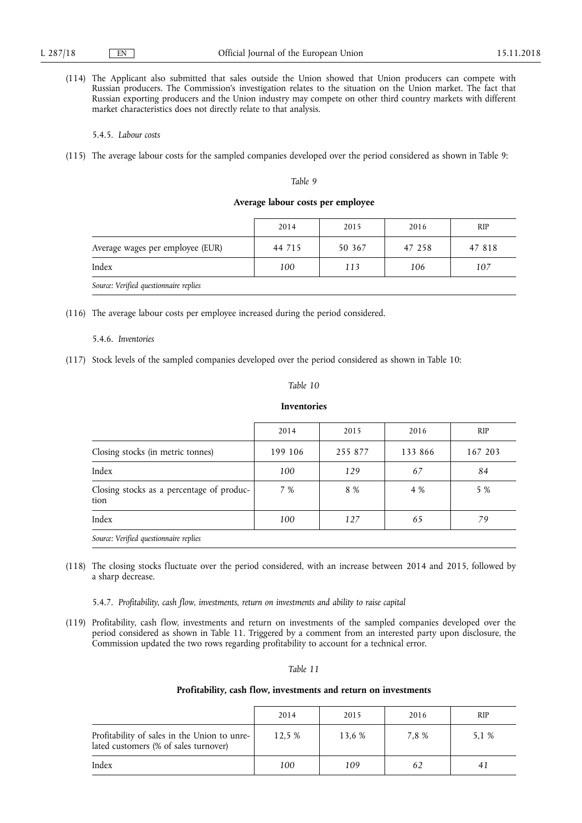(114) The Applicant also submitted that sales outside the Union showed that Union producers can compete with Russian producers. The Commission's investigation relates to the situation on the Union market. The fact that Russian exporting producers and the Union industry may compete on other third country markets with different market characteristics does not directly relate to that analysis.

5.4.5. *Labour costs* 

(115) The average labour costs for the sampled companies developed over the period considered as shown in Table 9:

#### *Table 9*

#### **Average labour costs per employee**

|                                        | 2014   | 2015   | 2016   | <b>RIP</b> |
|----------------------------------------|--------|--------|--------|------------|
| Average wages per employee (EUR)       | 44 715 | 50 367 | 47 258 | 47 818     |
| Index                                  | 100    | 113    | 106    | 107        |
| Source: Verified questionnaire replies |        |        |        |            |

(116) The average labour costs per employee increased during the period considered.

### 5.4.6. *Inventories*

(117) Stock levels of the sampled companies developed over the period considered as shown in Table 10:

#### *Table 10*

### **Inventories**

|                                                   | 2014    | 2015    | 2016    | <b>RIP</b> |
|---------------------------------------------------|---------|---------|---------|------------|
| Closing stocks (in metric tonnes)                 | 199 106 | 255 877 | 133 866 | 167 203    |
| Index                                             | 100     | 129     | 67      | 84         |
| Closing stocks as a percentage of produc-<br>tion | 7 %     | 8 %     | 4 %     | 5 %        |
| Index                                             | 100     | 127     | 65      | 79         |
| Source: Verified questionnaire replies            |         |         |         |            |

(118) The closing stocks fluctuate over the period considered, with an increase between 2014 and 2015, followed by a sharp decrease.

5.4.7. *Profitability, cash flow, investments, return on investments and ability to raise capital* 

(119) Profitability, cash flow, investments and return on investments of the sampled companies developed over the period considered as shown in Table 11. Triggered by a comment from an interested party upon disclosure, the Commission updated the two rows regarding profitability to account for a technical error.

#### *Table 11*

#### **Profitability, cash flow, investments and return on investments**

|                                                                                       | 2014   | 2015   | 2016  | <b>RIP</b> |
|---------------------------------------------------------------------------------------|--------|--------|-------|------------|
| Profitability of sales in the Union to unre-<br>lated customers (% of sales turnover) | 12.5 % | 13.6 % | 7.8 % | 5.1 %      |
| Index                                                                                 | 100    | 109    |       |            |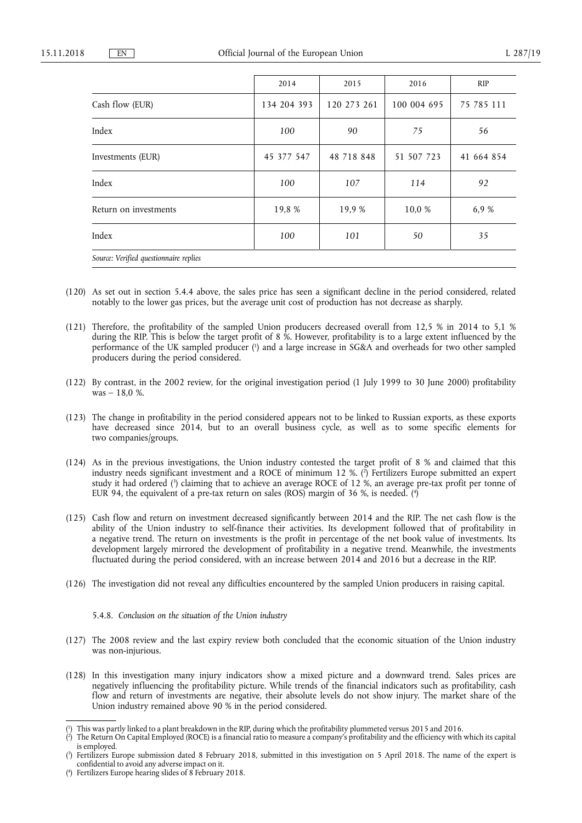|                                        | 2014        | 2015        | 2016        | RIP        |
|----------------------------------------|-------------|-------------|-------------|------------|
| Cash flow (EUR)                        | 134 204 393 | 120 273 261 | 100 004 695 | 75 785 111 |
| Index                                  | 100         | 90          | 75          | 56         |
| Investments (EUR)                      | 45 377 547  | 48 718 848  | 51 507 723  | 41 664 854 |
| Index                                  | 100         | 107         | 114         | 92         |
| Return on investments                  | 19,8 %      | 19,9 %      | 10,0 %      | 6,9 %      |
| Index                                  | 100         | 101         | 50          | 35         |
| Source: Verified questionnaire replies |             |             |             |            |

- (120) As set out in section 5.4.4 above, the sales price has seen a significant decline in the period considered, related notably to the lower gas prices, but the average unit cost of production has not decrease as sharply.
- (121) Therefore, the profitability of the sampled Union producers decreased overall from 12,5 % in 2014 to 5,1 % during the RIP. This is below the target profit of 8 %. However, profitability is to a large extent influenced by the performance of the UK sampled producer ( 1 ) and a large increase in SG&A and overheads for two other sampled producers during the period considered.
- (122) By contrast, in the 2002 review, for the original investigation period (1 July 1999 to 30 June 2000) profitability  $was - 18.0 %$
- (123) The change in profitability in the period considered appears not to be linked to Russian exports, as these exports have decreased since 2014, but to an overall business cycle, as well as to some specific elements for two companies/groups.
- (124) As in the previous investigations, the Union industry contested the target profit of 8 % and claimed that this industry needs significant investment and a ROCE of minimum 12 %. ( 2 ) Fertilizers Europe submitted an expert study it had ordered ( 3 ) claiming that to achieve an average ROCE of 12 %, an average pre-tax profit per tonne of EUR 94, the equivalent of a pre-tax return on sales (ROS) margin of 36 %, is needed. ( 4 )
- (125) Cash flow and return on investment decreased significantly between 2014 and the RIP. The net cash flow is the ability of the Union industry to self-finance their activities. Its development followed that of profitability in a negative trend. The return on investments is the profit in percentage of the net book value of investments. Its development largely mirrored the development of profitability in a negative trend. Meanwhile, the investments fluctuated during the period considered, with an increase between 2014 and 2016 but a decrease in the RIP.
- (126) The investigation did not reveal any difficulties encountered by the sampled Union producers in raising capital.

#### 5.4.8. *Conclusion on the situation of the Union industry*

- (127) The 2008 review and the last expiry review both concluded that the economic situation of the Union industry was non-injurious.
- (128) In this investigation many injury indicators show a mixed picture and a downward trend. Sales prices are negatively influencing the profitability picture. While trends of the financial indicators such as profitability, cash flow and return of investments are negative, their absolute levels do not show injury. The market share of the Union industry remained above 90 % in the period considered.

( 2 ) The Return On Capital Employed (ROCE) is a financial ratio to measure a company's profitability and the efficiency with which its capital is employed.

<sup>(</sup> 1 ) This was partly linked to a plant breakdown in the RIP, during which the profitability plummeted versus 2015 and 2016.

<sup>(</sup> 3 ) Fertilizers Europe submission dated 8 February 2018, submitted in this investigation on 5 April 2018. The name of the expert is confidential to avoid any adverse impact on it.

<sup>(</sup> 4 ) Fertilizers Europe hearing slides of 8 February 2018.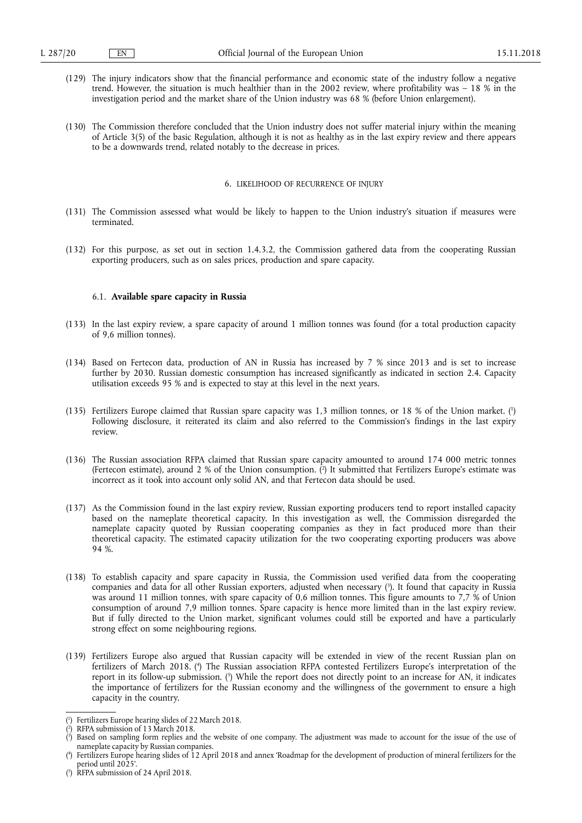- (129) The injury indicators show that the financial performance and economic state of the industry follow a negative trend. However, the situation is much healthier than in the 2002 review, where profitability was – 18 % in the investigation period and the market share of the Union industry was 68 % (before Union enlargement).
- (130) The Commission therefore concluded that the Union industry does not suffer material injury within the meaning of Article 3(5) of the basic Regulation, although it is not as healthy as in the last expiry review and there appears to be a downwards trend, related notably to the decrease in prices.

#### 6. LIKELIHOOD OF RECURRENCE OF INJURY

- (131) The Commission assessed what would be likely to happen to the Union industry's situation if measures were terminated.
- (132) For this purpose, as set out in section 1.4.3.2, the Commission gathered data from the cooperating Russian exporting producers, such as on sales prices, production and spare capacity.

#### 6.1. **Available spare capacity in Russia**

- (133) In the last expiry review, a spare capacity of around 1 million tonnes was found (for a total production capacity of 9,6 million tonnes).
- (134) Based on Fertecon data, production of AN in Russia has increased by 7 % since 2013 and is set to increase further by 2030. Russian domestic consumption has increased significantly as indicated in section 2.4. Capacity utilisation exceeds 95 % and is expected to stay at this level in the next years.
- (135) Fertilizers Europe claimed that Russian spare capacity was 1,3 million tonnes, or 18 % of the Union market. ( 1 ) Following disclosure, it reiterated its claim and also referred to the Commission's findings in the last expiry review.
- (136) The Russian association RFPA claimed that Russian spare capacity amounted to around 174 000 metric tonnes (Fertecon estimate), around 2 % of the Union consumption. ( 2 ) It submitted that Fertilizers Europe's estimate was incorrect as it took into account only solid AN, and that Fertecon data should be used.
- (137) As the Commission found in the last expiry review, Russian exporting producers tend to report installed capacity based on the nameplate theoretical capacity. In this investigation as well, the Commission disregarded the nameplate capacity quoted by Russian cooperating companies as they in fact produced more than their theoretical capacity. The estimated capacity utilization for the two cooperating exporting producers was above 94 %.
- (138) To establish capacity and spare capacity in Russia, the Commission used verified data from the cooperating companies and data for all other Russian exporters, adjusted when necessary ( 3 ). It found that capacity in Russia was around 11 million tonnes, with spare capacity of 0,6 million tonnes. This figure amounts to 7,7 % of Union consumption of around 7,9 million tonnes. Spare capacity is hence more limited than in the last expiry review. But if fully directed to the Union market, significant volumes could still be exported and have a particularly strong effect on some neighbouring regions.
- (139) Fertilizers Europe also argued that Russian capacity will be extended in view of the recent Russian plan on fertilizers of March 2018. ( 4 ) The Russian association RFPA contested Fertilizers Europe's interpretation of the report in its follow-up submission. ( 5 ) While the report does not directly point to an increase for AN, it indicates the importance of fertilizers for the Russian economy and the willingness of the government to ensure a high capacity in the country.

<sup>(</sup> 1 ) Fertilizers Europe hearing slides of 22 March 2018.

<sup>(</sup> 2 ) RFPA submission of 13 March 2018.

<sup>(</sup> 3 ) Based on sampling form replies and the website of one company. The adjustment was made to account for the issue of the use of nameplate capacity by Russian companies.

<sup>(</sup> 4 ) Fertilizers Europe hearing slides of 12 April 2018 and annex 'Roadmap for the development of production of mineral fertilizers for the period until 2025'.

<sup>(</sup> 5 ) RFPA submission of 24 April 2018.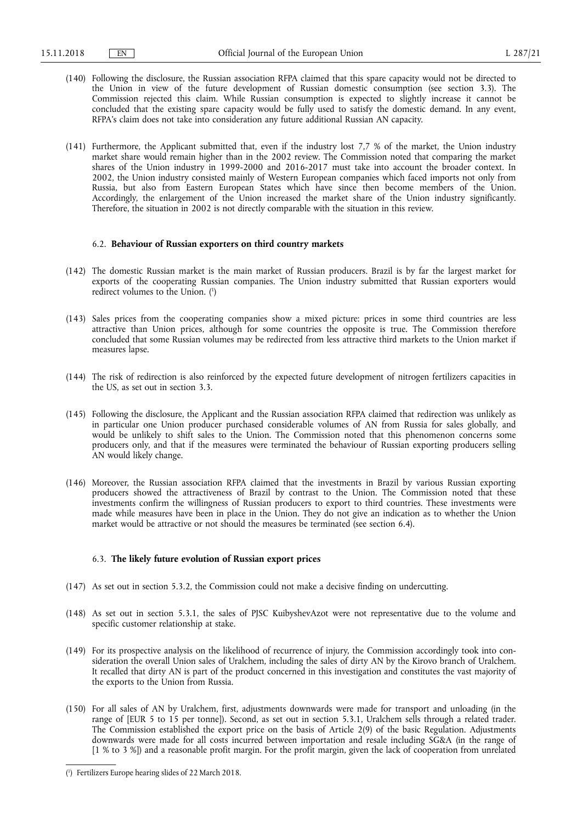- (140) Following the disclosure, the Russian association RFPA claimed that this spare capacity would not be directed to the Union in view of the future development of Russian domestic consumption (see section 3.3). The Commission rejected this claim. While Russian consumption is expected to slightly increase it cannot be concluded that the existing spare capacity would be fully used to satisfy the domestic demand. In any event, RFPA's claim does not take into consideration any future additional Russian AN capacity.
- (141) Furthermore, the Applicant submitted that, even if the industry lost 7,7 % of the market, the Union industry market share would remain higher than in the 2002 review. The Commission noted that comparing the market shares of the Union industry in 1999-2000 and 2016-2017 must take into account the broader context. In 2002, the Union industry consisted mainly of Western European companies which faced imports not only from Russia, but also from Eastern European States which have since then become members of the Union. Accordingly, the enlargement of the Union increased the market share of the Union industry significantly. Therefore, the situation in 2002 is not directly comparable with the situation in this review.

#### 6.2. **Behaviour of Russian exporters on third country markets**

- (142) The domestic Russian market is the main market of Russian producers. Brazil is by far the largest market for exports of the cooperating Russian companies. The Union industry submitted that Russian exporters would redirect volumes to the Union. ( 1 )
- (143) Sales prices from the cooperating companies show a mixed picture: prices in some third countries are less attractive than Union prices, although for some countries the opposite is true. The Commission therefore concluded that some Russian volumes may be redirected from less attractive third markets to the Union market if measures lapse.
- (144) The risk of redirection is also reinforced by the expected future development of nitrogen fertilizers capacities in the US, as set out in section 3.3.
- (145) Following the disclosure, the Applicant and the Russian association RFPA claimed that redirection was unlikely as in particular one Union producer purchased considerable volumes of AN from Russia for sales globally, and would be unlikely to shift sales to the Union. The Commission noted that this phenomenon concerns some producers only, and that if the measures were terminated the behaviour of Russian exporting producers selling AN would likely change.
- (146) Moreover, the Russian association RFPA claimed that the investments in Brazil by various Russian exporting producers showed the attractiveness of Brazil by contrast to the Union. The Commission noted that these investments confirm the willingness of Russian producers to export to third countries. These investments were made while measures have been in place in the Union. They do not give an indication as to whether the Union market would be attractive or not should the measures be terminated (see section 6.4).

#### 6.3. **The likely future evolution of Russian export prices**

- (147) As set out in section 5.3.2, the Commission could not make a decisive finding on undercutting.
- (148) As set out in section 5.3.1, the sales of PJSC KuibyshevAzot were not representative due to the volume and specific customer relationship at stake.
- (149) For its prospective analysis on the likelihood of recurrence of injury, the Commission accordingly took into consideration the overall Union sales of Uralchem, including the sales of dirty AN by the Kirovo branch of Uralchem. It recalled that dirty AN is part of the product concerned in this investigation and constitutes the vast majority of the exports to the Union from Russia.
- (150) For all sales of AN by Uralchem, first, adjustments downwards were made for transport and unloading (in the range of [EUR 5 to 15 per tonne]). Second, as set out in section 5.3.1, Uralchem sells through a related trader. The Commission established the export price on the basis of Article 2(9) of the basic Regulation. Adjustments downwards were made for all costs incurred between importation and resale including SG&A (in the range of [1 % to 3 %]) and a reasonable profit margin. For the profit margin, given the lack of cooperation from unrelated

<sup>(</sup> 1 ) Fertilizers Europe hearing slides of 22 March 2018.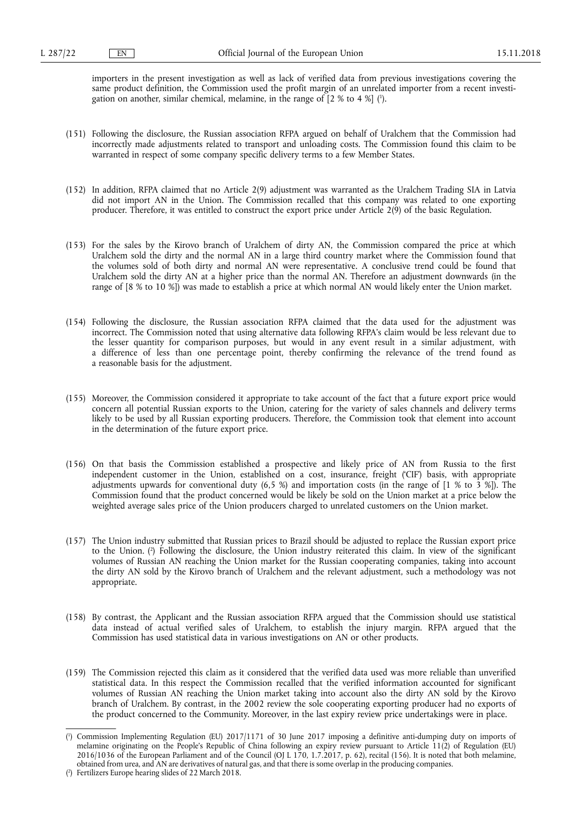importers in the present investigation as well as lack of verified data from previous investigations covering the same product definition, the Commission used the profit margin of an unrelated importer from a recent investigation on another, similar chemical, melamine, in the range of [2 % to 4 %] ( 1 ).

- (151) Following the disclosure, the Russian association RFPA argued on behalf of Uralchem that the Commission had incorrectly made adjustments related to transport and unloading costs. The Commission found this claim to be warranted in respect of some company specific delivery terms to a few Member States.
- (152) In addition, RFPA claimed that no Article 2(9) adjustment was warranted as the Uralchem Trading SIA in Latvia did not import AN in the Union. The Commission recalled that this company was related to one exporting producer. Therefore, it was entitled to construct the export price under Article 2(9) of the basic Regulation.
- (153) For the sales by the Kirovo branch of Uralchem of dirty AN, the Commission compared the price at which Uralchem sold the dirty and the normal AN in a large third country market where the Commission found that the volumes sold of both dirty and normal AN were representative. A conclusive trend could be found that Uralchem sold the dirty AN at a higher price than the normal AN. Therefore an adjustment downwards (in the range of [8 % to 10 %]) was made to establish a price at which normal AN would likely enter the Union market.
- (154) Following the disclosure, the Russian association RFPA claimed that the data used for the adjustment was incorrect. The Commission noted that using alternative data following RFPA's claim would be less relevant due to the lesser quantity for comparison purposes, but would in any event result in a similar adjustment, with a difference of less than one percentage point, thereby confirming the relevance of the trend found as a reasonable basis for the adjustment.
- (155) Moreover, the Commission considered it appropriate to take account of the fact that a future export price would concern all potential Russian exports to the Union, catering for the variety of sales channels and delivery terms likely to be used by all Russian exporting producers. Therefore, the Commission took that element into account in the determination of the future export price.
- (156) On that basis the Commission established a prospective and likely price of AN from Russia to the first independent customer in the Union, established on a cost, insurance, freight ('CIF') basis, with appropriate adjustments upwards for conventional duty  $(6,5, 8)$  and importation costs (in the range of  $[1, 8, 16, 3, 8]$ ). The Commission found that the product concerned would be likely be sold on the Union market at a price below the weighted average sales price of the Union producers charged to unrelated customers on the Union market.
- (157) The Union industry submitted that Russian prices to Brazil should be adjusted to replace the Russian export price to the Union. ( 2 ) Following the disclosure, the Union industry reiterated this claim. In view of the significant volumes of Russian AN reaching the Union market for the Russian cooperating companies, taking into account the dirty AN sold by the Kirovo branch of Uralchem and the relevant adjustment, such a methodology was not appropriate.
- (158) By contrast, the Applicant and the Russian association RFPA argued that the Commission should use statistical data instead of actual verified sales of Uralchem, to establish the injury margin. RFPA argued that the Commission has used statistical data in various investigations on AN or other products.
- (159) The Commission rejected this claim as it considered that the verified data used was more reliable than unverified statistical data. In this respect the Commission recalled that the verified information accounted for significant volumes of Russian AN reaching the Union market taking into account also the dirty AN sold by the Kirovo branch of Uralchem. By contrast, in the 2002 review the sole cooperating exporting producer had no exports of the product concerned to the Community. Moreover, in the last expiry review price undertakings were in place.

<sup>(</sup> 1 ) Commission Implementing Regulation (EU) 2017/1171 of 30 June 2017 imposing a definitive anti-dumping duty on imports of melamine originating on the People's Republic of China following an expiry review pursuant to Article 11(2) of Regulation (EU) 2016/1036 of the European Parliament and of the Council (OJ L 170, 1.7.2017, p. 62), recital (156). It is noted that both melamine, obtained from urea, and AN are derivatives of natural gas, and that there is some overlap in the producing companies.

<sup>(</sup> 2 ) Fertilizers Europe hearing slides of 22 March 2018.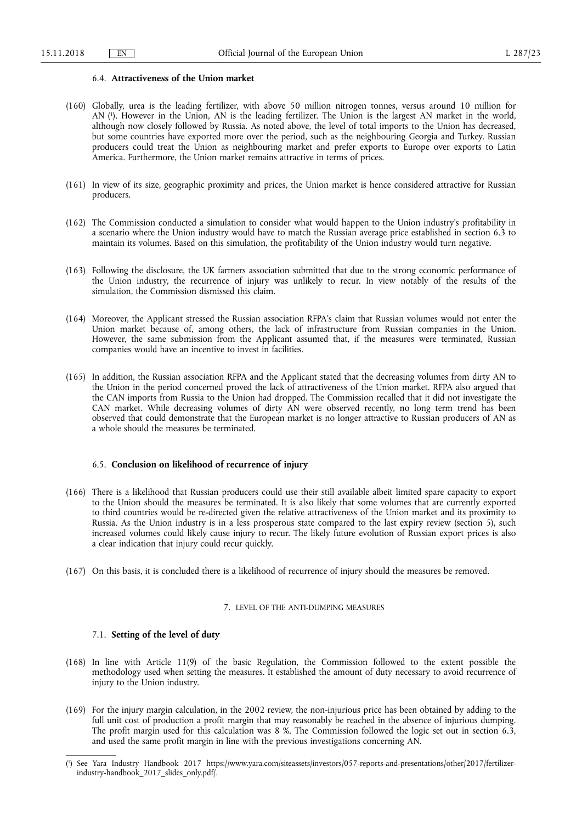#### 6.4. **Attractiveness of the Union market**

- (160) Globally, urea is the leading fertilizer, with above 50 million nitrogen tonnes, versus around 10 million for AN ( 1 ). However in the Union, AN is the leading fertilizer. The Union is the largest AN market in the world, although now closely followed by Russia. As noted above, the level of total imports to the Union has decreased, but some countries have exported more over the period, such as the neighbouring Georgia and Turkey. Russian producers could treat the Union as neighbouring market and prefer exports to Europe over exports to Latin America. Furthermore, the Union market remains attractive in terms of prices.
- (161) In view of its size, geographic proximity and prices, the Union market is hence considered attractive for Russian producers.
- (162) The Commission conducted a simulation to consider what would happen to the Union industry's profitability in a scenario where the Union industry would have to match the Russian average price established in section 6.3 to maintain its volumes. Based on this simulation, the profitability of the Union industry would turn negative.
- (163) Following the disclosure, the UK farmers association submitted that due to the strong economic performance of the Union industry, the recurrence of injury was unlikely to recur. In view notably of the results of the simulation, the Commission dismissed this claim.
- (164) Moreover, the Applicant stressed the Russian association RFPA's claim that Russian volumes would not enter the Union market because of, among others, the lack of infrastructure from Russian companies in the Union. However, the same submission from the Applicant assumed that, if the measures were terminated, Russian companies would have an incentive to invest in facilities.
- (165) In addition, the Russian association RFPA and the Applicant stated that the decreasing volumes from dirty AN to the Union in the period concerned proved the lack of attractiveness of the Union market. RFPA also argued that the CAN imports from Russia to the Union had dropped. The Commission recalled that it did not investigate the CAN market. While decreasing volumes of dirty AN were observed recently, no long term trend has been observed that could demonstrate that the European market is no longer attractive to Russian producers of AN as a whole should the measures be terminated.

### 6.5. **Conclusion on likelihood of recurrence of injury**

- (166) There is a likelihood that Russian producers could use their still available albeit limited spare capacity to export to the Union should the measures be terminated. It is also likely that some volumes that are currently exported to third countries would be re-directed given the relative attractiveness of the Union market and its proximity to Russia. As the Union industry is in a less prosperous state compared to the last expiry review (section 5), such increased volumes could likely cause injury to recur. The likely future evolution of Russian export prices is also a clear indication that injury could recur quickly.
- (167) On this basis, it is concluded there is a likelihood of recurrence of injury should the measures be removed.

## 7. LEVEL OF THE ANTI-DUMPING MEASURES

### 7.1. **Setting of the level of duty**

- (168) In line with Article 11(9) of the basic Regulation, the Commission followed to the extent possible the methodology used when setting the measures. It established the amount of duty necessary to avoid recurrence of injury to the Union industry.
- (169) For the injury margin calculation, in the 2002 review, the non-injurious price has been obtained by adding to the full unit cost of production a profit margin that may reasonably be reached in the absence of injurious dumping. The profit margin used for this calculation was 8 %. The Commission followed the logic set out in section 6.3, and used the same profit margin in line with the previous investigations concerning AN.

<sup>(</sup> 1 ) See Yara Industry Handbook 2017 [https://www.yara.com/siteassets/investors/057-reports-and-presentations/other/2017/fertilizer](https://www.yara.com/siteassets/investors/057-reports-and-presentations/other/2017/fertilizer-industry-handbook_2017_slides_only.pdf/)[industry-handbook\\_2017\\_slides\\_only.pdf/.](https://www.yara.com/siteassets/investors/057-reports-and-presentations/other/2017/fertilizer-industry-handbook_2017_slides_only.pdf/)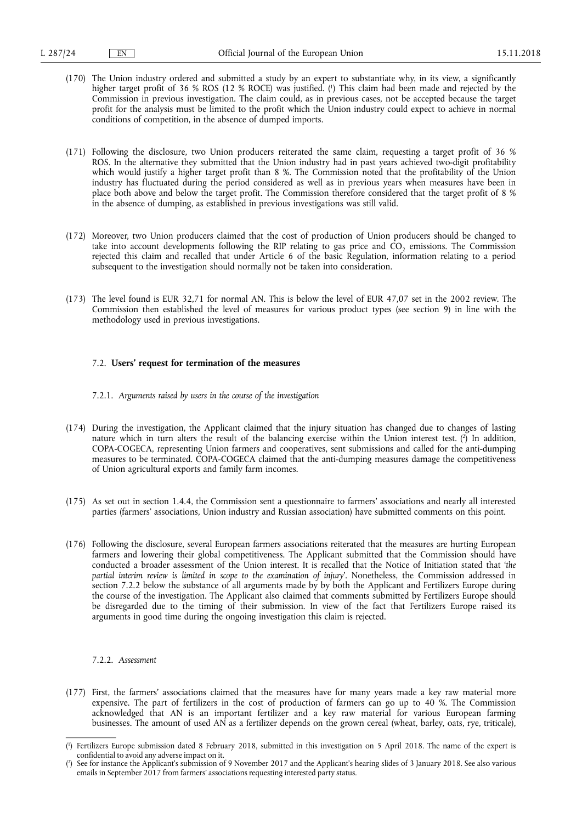- (170) The Union industry ordered and submitted a study by an expert to substantiate why, in its view, a significantly higher target profit of 36 % ROS (12 % ROCE) was justified. ( 1 ) This claim had been made and rejected by the Commission in previous investigation. The claim could, as in previous cases, not be accepted because the target profit for the analysis must be limited to the profit which the Union industry could expect to achieve in normal conditions of competition, in the absence of dumped imports.
- (171) Following the disclosure, two Union producers reiterated the same claim, requesting a target profit of 36 % ROS. In the alternative they submitted that the Union industry had in past years achieved two-digit profitability which would justify a higher target profit than 8 %. The Commission noted that the profitability of the Union industry has fluctuated during the period considered as well as in previous years when measures have been in place both above and below the target profit. The Commission therefore considered that the target profit of 8 % in the absence of dumping, as established in previous investigations was still valid.
- (172) Moreover, two Union producers claimed that the cost of production of Union producers should be changed to take into account developments following the RIP relating to gas price and CO<sub>2</sub> emissions. The Commission rejected this claim and recalled that under Article 6 of the basic Regulation, information relating to a period subsequent to the investigation should normally not be taken into consideration.
- (173) The level found is EUR 32,71 for normal AN. This is below the level of EUR 47,07 set in the 2002 review. The Commission then established the level of measures for various product types (see section 9) in line with the methodology used in previous investigations.

### 7.2. **Users' request for termination of the measures**

- 7.2.1. *Arguments raised by users in the course of the investigation*
- (174) During the investigation, the Applicant claimed that the injury situation has changed due to changes of lasting nature which in turn alters the result of the balancing exercise within the Union interest test.  $(2)$  In addition, COPA-COGECA, representing Union farmers and cooperatives, sent submissions and called for the anti-dumping measures to be terminated. COPA-COGECA claimed that the anti-dumping measures damage the competitiveness of Union agricultural exports and family farm incomes.
- (175) As set out in section 1.4.4, the Commission sent a questionnaire to farmers' associations and nearly all interested parties (farmers' associations, Union industry and Russian association) have submitted comments on this point.
- (176) Following the disclosure, several European farmers associations reiterated that the measures are hurting European farmers and lowering their global competitiveness. The Applicant submitted that the Commission should have conducted a broader assessment of the Union interest. It is recalled that the Notice of Initiation stated that '*the partial interim review is limited in scope to the examination of injury*'. Nonetheless, the Commission addressed in section 7.2.2 below the substance of all arguments made by by both the Applicant and Fertilizers Europe during the course of the investigation. The Applicant also claimed that comments submitted by Fertilizers Europe should be disregarded due to the timing of their submission. In view of the fact that Fertilizers Europe raised its arguments in good time during the ongoing investigation this claim is rejected.

#### 7.2.2. *Assessment*

(177) First, the farmers' associations claimed that the measures have for many years made a key raw material more expensive. The part of fertilizers in the cost of production of farmers can go up to 40 %. The Commission acknowledged that AN is an important fertilizer and a key raw material for various European farming businesses. The amount of used AN as a fertilizer depends on the grown cereal (wheat, barley, oats, rye, triticale),

<sup>(</sup> 1 ) Fertilizers Europe submission dated 8 February 2018, submitted in this investigation on 5 April 2018. The name of the expert is confidential to avoid any adverse impact on it.

<sup>(</sup> 2 ) See for instance the Applicant's submission of 9 November 2017 and the Applicant's hearing slides of 3 January 2018. See also various emails in September 2017 from farmers' associations requesting interested party status.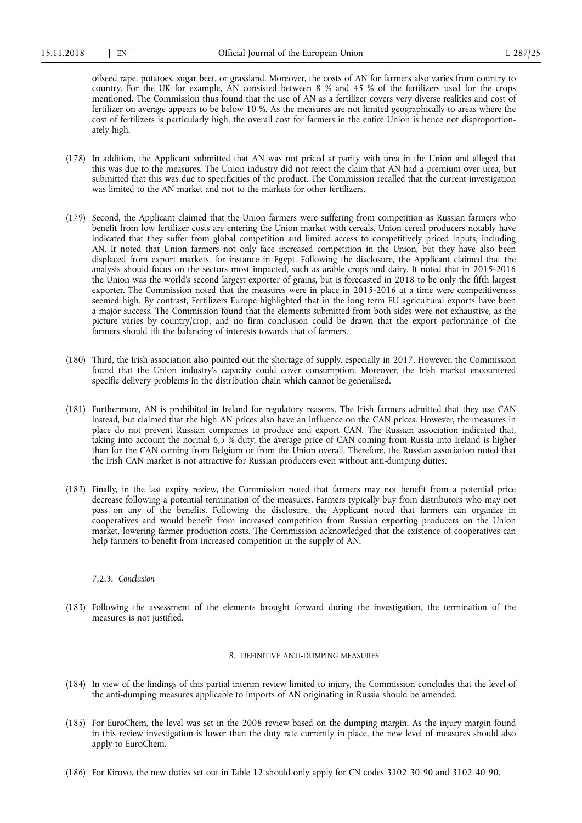oilseed rape, potatoes, sugar beet, or grassland. Moreover, the costs of AN for farmers also varies from country to country. For the UK for example, AN consisted between 8 % and 45 % of the fertilizers used for the crops mentioned. The Commission thus found that the use of AN as a fertilizer covers very diverse realities and cost of fertilizer on average appears to be below 10 %. As the measures are not limited geographically to areas where the cost of fertilizers is particularly high, the overall cost for farmers in the entire Union is hence not disproportionately high.

- (178) In addition, the Applicant submitted that AN was not priced at parity with urea in the Union and alleged that this was due to the measures. The Union industry did not reject the claim that AN had a premium over urea, but submitted that this was due to specificities of the product. The Commission recalled that the current investigation was limited to the AN market and not to the markets for other fertilizers.
- (179) Second, the Applicant claimed that the Union farmers were suffering from competition as Russian farmers who benefit from low fertilizer costs are entering the Union market with cereals. Union cereal producers notably have indicated that they suffer from global competition and limited access to competitively priced inputs, including AN. It noted that Union farmers not only face increased competition in the Union, but they have also been displaced from export markets, for instance in Egypt. Following the disclosure, the Applicant claimed that the analysis should focus on the sectors most impacted, such as arable crops and dairy. It noted that in 2015-2016 the Union was the world's second largest exporter of grains, but is forecasted in 2018 to be only the fifth largest exporter. The Commission noted that the measures were in place in 2015-2016 at a time were competitiveness seemed high. By contrast, Fertilizers Europe highlighted that in the long term EU agricultural exports have been a major success. The Commission found that the elements submitted from both sides were not exhaustive, as the picture varies by country/crop, and no firm conclusion could be drawn that the export performance of the farmers should tilt the balancing of interests towards that of farmers.
- (180) Third, the Irish association also pointed out the shortage of supply, especially in 2017. However, the Commission found that the Union industry's capacity could cover consumption. Moreover, the Irish market encountered specific delivery problems in the distribution chain which cannot be generalised.
- (181) Furthermore, AN is prohibited in Ireland for regulatory reasons. The Irish farmers admitted that they use CAN instead, but claimed that the high AN prices also have an influence on the CAN prices. However, the measures in place do not prevent Russian companies to produce and export CAN. The Russian association indicated that, taking into account the normal 6,5 % duty, the average price of CAN coming from Russia into Ireland is higher than for the CAN coming from Belgium or from the Union overall. Therefore, the Russian association noted that the Irish CAN market is not attractive for Russian producers even without anti-dumping duties.
- (182) Finally, in the last expiry review, the Commission noted that farmers may not benefit from a potential price decrease following a potential termination of the measures. Farmers typically buy from distributors who may not pass on any of the benefits. Following the disclosure, the Applicant noted that farmers can organize in cooperatives and would benefit from increased competition from Russian exporting producers on the Union market, lowering farmer production costs. The Commission acknowledged that the existence of cooperatives can help farmers to benefit from increased competition in the supply of AN.

#### 7.2.3. *Conclusion*

(183) Following the assessment of the elements brought forward during the investigation, the termination of the measures is not justified.

#### 8. DEFINITIVE ANTI-DUMPING MEASURES

- (184) In view of the findings of this partial interim review limited to injury, the Commission concludes that the level of the anti-dumping measures applicable to imports of AN originating in Russia should be amended.
- (185) For EuroChem, the level was set in the 2008 review based on the dumping margin. As the injury margin found in this review investigation is lower than the duty rate currently in place, the new level of measures should also apply to EuroChem.
- (186) For Kirovo, the new duties set out in Table 12 should only apply for CN codes 3102 30 90 and 3102 40 90.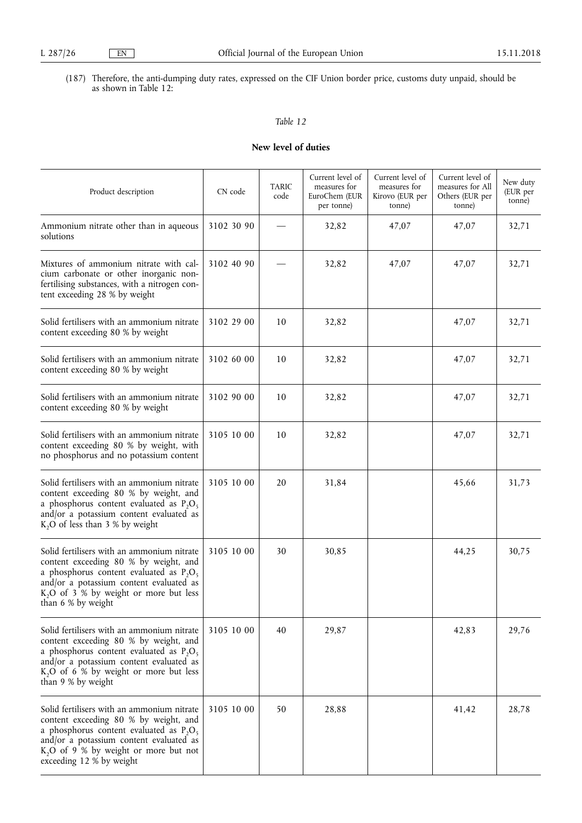(187) Therefore, the anti-dumping duty rates, expressed on the CIF Union border price, customs duty unpaid, should be as shown in Table 12:

# *Table 12*

# **New level of duties**

| Product description                                                                                                                                                                                                                                      | CN code    | <b>TARIC</b><br>code | Current level of<br>measures for<br>EuroChem (EUR<br>per tonne) | Current level of<br>measures for<br>Kirovo (EUR per<br>tonne) | Current level of<br>measures for All<br>Others (EUR per<br>tonne) | New duty<br>(EUR per<br>tonne) |
|----------------------------------------------------------------------------------------------------------------------------------------------------------------------------------------------------------------------------------------------------------|------------|----------------------|-----------------------------------------------------------------|---------------------------------------------------------------|-------------------------------------------------------------------|--------------------------------|
| Ammonium nitrate other than in aqueous<br>solutions                                                                                                                                                                                                      | 3102 30 90 |                      | 32,82                                                           | 47,07                                                         | 47,07                                                             | 32,71                          |
| Mixtures of ammonium nitrate with cal-<br>cium carbonate or other inorganic non-<br>fertilising substances, with a nitrogen con-<br>tent exceeding 28 % by weight                                                                                        | 3102 40 90 |                      | 32,82                                                           | 47,07                                                         | 47,07                                                             | 32,71                          |
| Solid fertilisers with an ammonium nitrate<br>content exceeding 80 % by weight                                                                                                                                                                           | 3102 29 00 | 10                   | 32,82                                                           |                                                               | 47,07                                                             | 32,71                          |
| Solid fertilisers with an ammonium nitrate<br>content exceeding 80 % by weight                                                                                                                                                                           | 3102 60 00 | 10                   | 32,82                                                           |                                                               | 47,07                                                             | 32,71                          |
| Solid fertilisers with an ammonium nitrate<br>content exceeding 80 % by weight                                                                                                                                                                           | 3102 90 00 | 10                   | 32,82                                                           |                                                               | 47,07                                                             | 32,71                          |
| Solid fertilisers with an ammonium nitrate<br>content exceeding 80 % by weight, with<br>no phosphorus and no potassium content                                                                                                                           | 3105 10 00 | 10                   | 32,82                                                           |                                                               | 47,07                                                             | 32,71                          |
| Solid fertilisers with an ammonium nitrate<br>content exceeding 80 % by weight, and<br>a phosphorus content evaluated as $P_2O_5$<br>and/or a potassium content evaluated as<br>$K2O$ of less than 3 % by weight                                         | 3105 10 00 | 20                   | 31,84                                                           |                                                               | 45,66                                                             | 31,73                          |
| Solid fertilisers with an ammonium nitrate<br>content exceeding 80 % by weight, and<br>a phosphorus content evaluated as $P_2O_5$<br>and/or a potassium content evaluated as<br>K <sub>2</sub> O of 3 % by weight or more but less<br>than 6 % by weight | 3105 10 00 | 30                   | 30,85                                                           |                                                               | 44,25                                                             | 30,75                          |
| Solid fertilisers with an ammonium nitrate<br>content exceeding 80 % by weight, and<br>a phosphorus content evaluated as $P_2O_5$<br>and/or a potassium content evaluated as<br>$K2O$ of 6 % by weight or more but less<br>than 9 % by weight            | 3105 10 00 | 40                   | 29,87                                                           |                                                               | 42,83                                                             | 29,76                          |
| Solid fertilisers with an ammonium nitrate<br>content exceeding 80 % by weight, and<br>a phosphorus content evaluated as $P_2O_5$<br>and/or a potassium content evaluated as<br>$K2O$ of 9 % by weight or more but not<br>exceeding 12 % by weight       | 3105 10 00 | 50                   | 28,88                                                           |                                                               | 41,42                                                             | 28,78                          |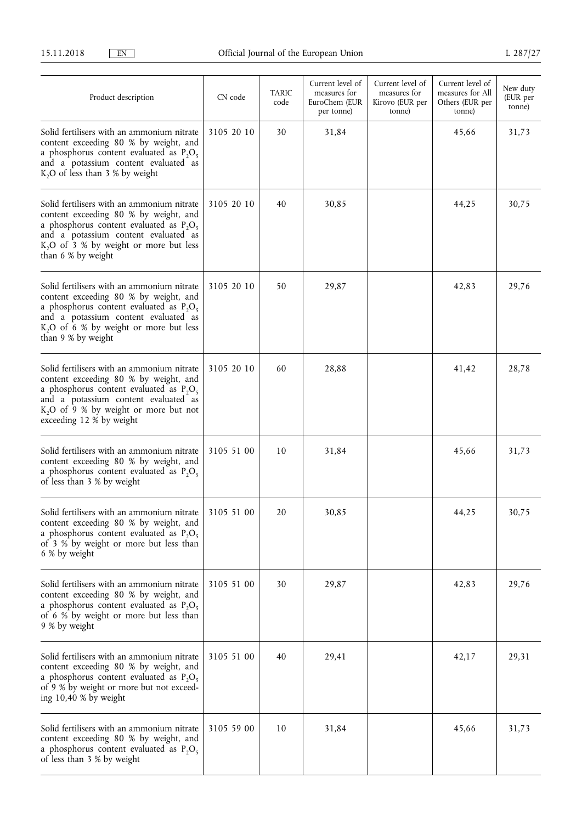| Product description                                                                                                                                                                                                                                        | CN code    | <b>TARIC</b><br>code | Current level of<br>measures for<br>EuroChem (EUR<br>per tonne) | Current level of<br>measures for<br>Kirovo (EUR per<br>tonne) | Current level of<br>measures for All<br>Others (EUR per<br>tonne) | New duty<br>(EUR per<br>tonne) |
|------------------------------------------------------------------------------------------------------------------------------------------------------------------------------------------------------------------------------------------------------------|------------|----------------------|-----------------------------------------------------------------|---------------------------------------------------------------|-------------------------------------------------------------------|--------------------------------|
| Solid fertilisers with an ammonium nitrate<br>content exceeding 80 % by weight, and<br>a phosphorus content evaluated as $P_2O_5$<br>and a potassium content evaluated as<br>K, O of less than 3 % by weight                                               | 3105 20 10 | 30                   | 31,84                                                           |                                                               | 45,66                                                             | 31,73                          |
| Solid fertilisers with an ammonium nitrate<br>content exceeding 80 % by weight, and<br>a phosphorus content evaluated as $P_2O_5$<br>and a potassium content evaluated as<br>$K2O$ of 3 % by weight or more but less<br>than 6 % by weight                 | 3105 20 10 | 40                   | 30,85                                                           |                                                               | 44,25                                                             | 30,75                          |
| Solid fertilisers with an ammonium nitrate<br>content exceeding 80 % by weight, and<br>a phosphorus content evaluated as $P_2O_5$<br>and a potassium content evaluated as<br>K <sub>2</sub> O of 6 % by weight or more but less<br>than 9 % by weight      | 3105 20 10 | 50                   | 29,87                                                           |                                                               | 42,83                                                             | 29,76                          |
| Solid fertilisers with an ammonium nitrate<br>content exceeding 80 % by weight, and<br>a phosphorus content evaluated as $P_2O_5$<br>and a potassium content evaluated as<br>K <sub>2</sub> O of 9 % by weight or more but not<br>exceeding 12 % by weight | 3105 20 10 | 60                   | 28,88                                                           |                                                               | 41,42                                                             | 28,78                          |
| Solid fertilisers with an ammonium nitrate<br>content exceeding 80 % by weight, and<br>a phosphorus content evaluated as $P_2O_5$<br>of less than 3 % by weight                                                                                            | 3105 51 00 | 10                   | 31,84                                                           |                                                               | 45,66                                                             | 31,73                          |
| Solid fertilisers with an ammonium nitrate<br>content exceeding 80 % by weight, and<br>a phosphorus content evaluated as $P_2O_5$<br>of 3 % by weight or more but less than<br>6 % by weight                                                               | 3105 51 00 | 20                   | 30,85                                                           |                                                               | 44,25                                                             | 30,75                          |
| Solid fertilisers with an ammonium nitrate<br>content exceeding 80 % by weight, and<br>a phosphorus content evaluated as $P_2O_5$<br>of 6 % by weight or more but less than<br>9 % by weight                                                               | 3105 51 00 | 30                   | 29,87                                                           |                                                               | 42,83                                                             | 29,76                          |
| Solid fertilisers with an ammonium nitrate<br>content exceeding 80 % by weight, and<br>a phosphorus content evaluated as $P_2O_5$<br>of 9 % by weight or more but not exceed-<br>ing $10,40%$ by weight                                                    | 3105 51 00 | 40                   | 29,41                                                           |                                                               | 42,17                                                             | 29,31                          |
| Solid fertilisers with an ammonium nitrate<br>content exceeding 80 % by weight, and<br>a phosphorus content evaluated as $P_2O_5$<br>of less than 3 % by weight                                                                                            | 3105 59 00 | 10                   | 31,84                                                           |                                                               | 45,66                                                             | 31,73                          |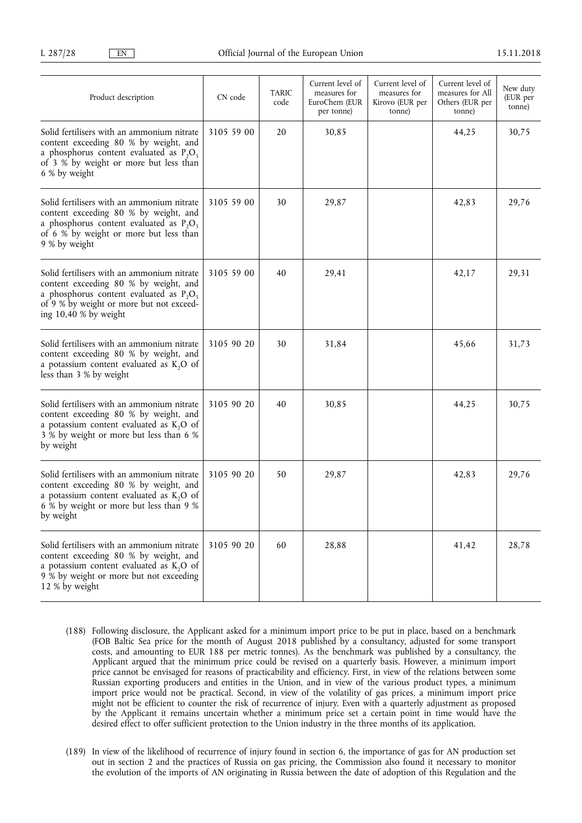| Product description                                                                                                                                                                                     | CN code    | <b>TARIC</b><br>code | Current level of<br>measures for<br>EuroChem (EUR<br>per tonne) | Current level of<br>measures for<br>Kirovo (EUR per<br>tonne) | Current level of<br>measures for All<br>Others (EUR per<br>tonne) | New duty<br>(EUR per<br>tonne) |
|---------------------------------------------------------------------------------------------------------------------------------------------------------------------------------------------------------|------------|----------------------|-----------------------------------------------------------------|---------------------------------------------------------------|-------------------------------------------------------------------|--------------------------------|
| Solid fertilisers with an ammonium nitrate<br>content exceeding 80 % by weight, and<br>a phosphorus content evaluated as $P_2O_5$<br>of 3 % by weight or more but less than<br>6 % by weight            | 3105 59 00 | 20                   | 30,85                                                           |                                                               | 44,25                                                             | 30,75                          |
| Solid fertilisers with an ammonium nitrate<br>content exceeding 80 % by weight, and<br>a phosphorus content evaluated as $P_2O_5$<br>of 6 % by weight or more but less than<br>9 % by weight            | 3105 59 00 | 30                   | 29,87                                                           |                                                               | 42,83                                                             | 29,76                          |
| Solid fertilisers with an ammonium nitrate<br>content exceeding 80 % by weight, and<br>a phosphorus content evaluated as $P_2O_5$<br>of 9 % by weight or more but not exceed-<br>ing $10,40%$ by weight | 3105 59 00 | 40                   | 29,41                                                           |                                                               | 42,17                                                             | 29,31                          |
| Solid fertilisers with an ammonium nitrate<br>content exceeding 80 % by weight, and<br>a potassium content evaluated as $K_2O$ of<br>less than 3 % by weight                                            | 3105 90 20 | 30                   | 31,84                                                           |                                                               | 45.66                                                             | 31,73                          |
| Solid fertilisers with an ammonium nitrate<br>content exceeding 80 % by weight, and<br>a potassium content evaluated as K <sub>2</sub> O of<br>3 % by weight or more but less than 6 %<br>by weight     | 3105 90 20 | 40                   | 30,85                                                           |                                                               | 44,25                                                             | 30,75                          |
| Solid fertilisers with an ammonium nitrate<br>content exceeding 80 % by weight, and<br>a potassium content evaluated as $K_2O$ of<br>6 % by weight or more but less than 9 %<br>by weight               | 3105 90 20 | 50                   | 29,87                                                           |                                                               | 42,83                                                             | 29,76                          |
| Solid fertilisers with an ammonium nitrate<br>content exceeding 80 % by weight, and<br>a potassium content evaluated as $K_2O$ of<br>9 % by weight or more but not exceeding<br>12 % by weight          | 3105 90 20 | 60                   | 28,88                                                           |                                                               | 41,42                                                             | 28,78                          |

- (188) Following disclosure, the Applicant asked for a minimum import price to be put in place, based on a benchmark (FOB Baltic Sea price for the month of August 2018 published by a consultancy, adjusted for some transport costs, and amounting to EUR 188 per metric tonnes). As the benchmark was published by a consultancy, the Applicant argued that the minimum price could be revised on a quarterly basis. However, a minimum import price cannot be envisaged for reasons of practicability and efficiency. First, in view of the relations between some Russian exporting producers and entities in the Union, and in view of the various product types, a minimum import price would not be practical. Second, in view of the volatility of gas prices, a minimum import price might not be efficient to counter the risk of recurrence of injury. Even with a quarterly adjustment as proposed by the Applicant it remains uncertain whether a minimum price set a certain point in time would have the desired effect to offer sufficient protection to the Union industry in the three months of its application.
- (189) In view of the likelihood of recurrence of injury found in section 6, the importance of gas for AN production set out in section 2 and the practices of Russia on gas pricing, the Commission also found it necessary to monitor the evolution of the imports of AN originating in Russia between the date of adoption of this Regulation and the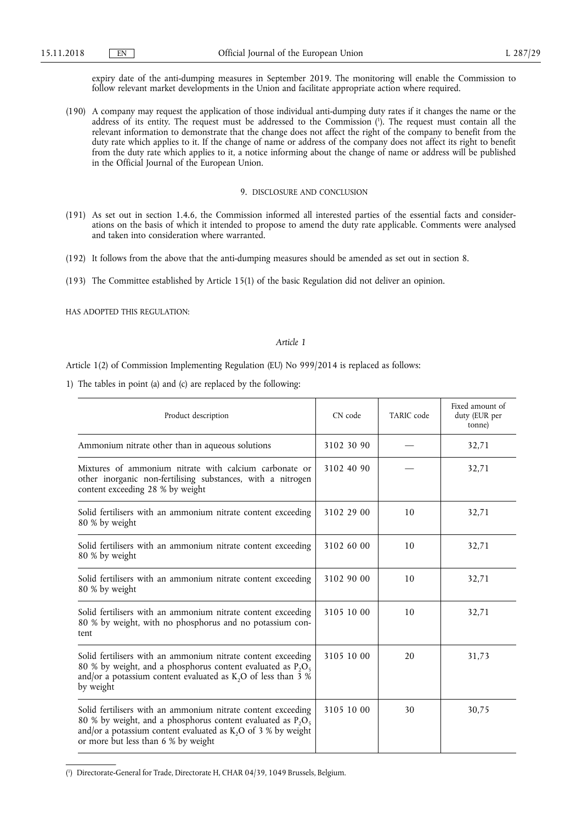expiry date of the anti-dumping measures in September 2019. The monitoring will enable the Commission to follow relevant market developments in the Union and facilitate appropriate action where required.

(190) A company may request the application of those individual anti-dumping duty rates if it changes the name or the address of its entity. The request must be addressed to the Commission ( 1 ). The request must contain all the relevant information to demonstrate that the change does not affect the right of the company to benefit from the duty rate which applies to it. If the change of name or address of the company does not affect its right to benefit from the duty rate which applies to it, a notice informing about the change of name or address will be published in the Official Journal of the European Union.

#### 9. DISCLOSURE AND CONCLUSION

- (191) As set out in section 1.4.6, the Commission informed all interested parties of the essential facts and considerations on the basis of which it intended to propose to amend the duty rate applicable. Comments were analysed and taken into consideration where warranted.
- (192) It follows from the above that the anti-dumping measures should be amended as set out in section 8.
- (193) The Committee established by Article 15(1) of the basic Regulation did not deliver an opinion.

HAS ADOPTED THIS REGULATION:

#### *Article 1*

Article 1(2) of Commission Implementing Regulation (EU) No 999/2014 is replaced as follows:

1) The tables in point (a) and (c) are replaced by the following:

| Product description                                                                                                                                                                                                                      | CN code    | TARIC code | Fixed amount of<br>duty (EUR per<br>tonne) |
|------------------------------------------------------------------------------------------------------------------------------------------------------------------------------------------------------------------------------------------|------------|------------|--------------------------------------------|
| Ammonium nitrate other than in aqueous solutions                                                                                                                                                                                         | 3102 30 90 |            | 32,71                                      |
| Mixtures of ammonium nitrate with calcium carbonate or<br>other inorganic non-fertilising substances, with a nitrogen<br>content exceeding 28 % by weight                                                                                | 3102 40 90 |            | 32,71                                      |
| Solid fertilisers with an ammonium nitrate content exceeding<br>80 % by weight                                                                                                                                                           | 3102 29 00 | 10         | 32,71                                      |
| Solid fertilisers with an ammonium nitrate content exceeding<br>80 % by weight                                                                                                                                                           | 3102 60 00 | 10         | 32,71                                      |
| Solid fertilisers with an ammonium nitrate content exceeding<br>80 % by weight                                                                                                                                                           | 3102 90 00 | 10         | 32,71                                      |
| Solid fertilisers with an ammonium nitrate content exceeding<br>80 % by weight, with no phosphorus and no potassium con-<br>tent                                                                                                         | 3105 10 00 | 10         | 32,71                                      |
| Solid fertilisers with an ammonium nitrate content exceeding<br>80 % by weight, and a phosphorus content evaluated as $P_2O_5$<br>and/or a potassium content evaluated as $K$ , O of less than 3 %<br>by weight                          | 3105 10 00 | 20         | 31,73                                      |
| Solid fertilisers with an ammonium nitrate content exceeding<br>80 % by weight, and a phosphorus content evaluated as $P_2O_5$<br>and/or a potassium content evaluated as $K_2O$ of 3 % by weight<br>or more but less than 6 % by weight | 3105 10 00 | 30         | 30,75                                      |

<sup>(</sup> 1 ) Directorate-General for Trade, Directorate H, CHAR 04/39, 1049 Brussels, Belgium.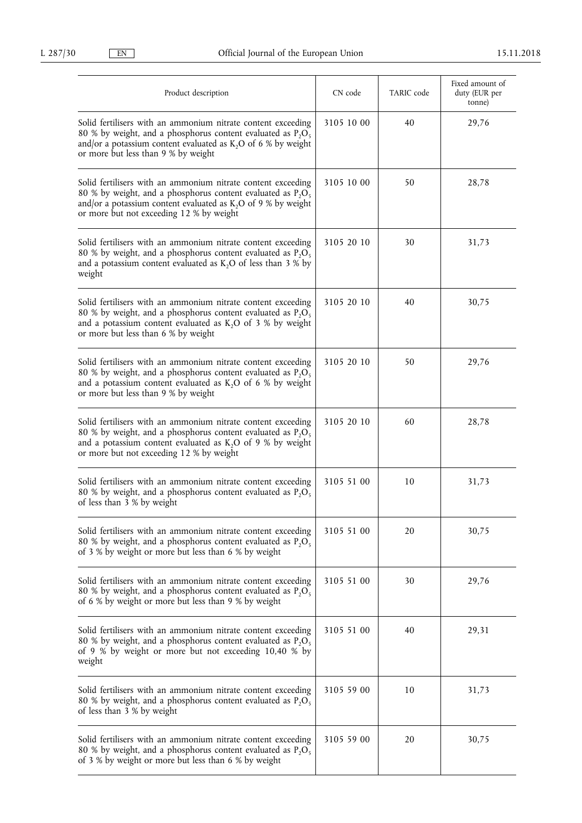| Product description                                                                                                                                                                                                                            | CN code    | TARIC code | Fixed amount of<br>duty (EUR per<br>tonne) |
|------------------------------------------------------------------------------------------------------------------------------------------------------------------------------------------------------------------------------------------------|------------|------------|--------------------------------------------|
| Solid fertilisers with an ammonium nitrate content exceeding<br>80 % by weight, and a phosphorus content evaluated as $P_2O_5$<br>and/or a potassium content evaluated as $K_2O$ of 6 % by weight<br>or more but less than 9 % by weight       | 3105 10 00 | 40         | 29,76                                      |
| Solid fertilisers with an ammonium nitrate content exceeding<br>80 % by weight, and a phosphorus content evaluated as $P_2O_5$<br>and/or a potassium content evaluated as $K$ , O of 9 % by weight<br>or more but not exceeding 12 % by weight | 3105 10 00 | 50         | 28,78                                      |
| Solid fertilisers with an ammonium nitrate content exceeding<br>80 % by weight, and a phosphorus content evaluated as $P_2O_5$<br>and a potassium content evaluated as $K_2O$ of less than 3 % by<br>weight                                    | 3105 20 10 | 30         | 31,73                                      |
| Solid fertilisers with an ammonium nitrate content exceeding<br>80 % by weight, and a phosphorus content evaluated as $P_2O_5$<br>and a potassium content evaluated as $K_2O$ of 3 % by weight<br>or more but less than 6 % by weight          | 3105 20 10 | 40         | 30,75                                      |
| Solid fertilisers with an ammonium nitrate content exceeding<br>80 % by weight, and a phosphorus content evaluated as $P_2O_5$<br>and a potassium content evaluated as $K_2O$ of 6 % by weight<br>or more but less than 9 % by weight          | 3105 20 10 | 50         | 29,76                                      |
| Solid fertilisers with an ammonium nitrate content exceeding<br>80 % by weight, and a phosphorus content evaluated as $P_2O_5$<br>and a potassium content evaluated as K,O of 9 % by weight<br>or more but not exceeding 12 % by weight        | 3105 20 10 | 60         | 28,78                                      |
| Solid fertilisers with an ammonium nitrate content exceeding<br>80 % by weight, and a phosphorus content evaluated as $P_2O_5$<br>of less than 3 % by weight                                                                                   | 3105 51 00 | 10         | 31,73                                      |
| Solid fertilisers with an ammonium nitrate content exceeding<br>80 % by weight, and a phosphorus content evaluated as $P_2O_5$<br>of 3 % by weight or more but less than 6 % by weight                                                         | 3105 51 00 | 20         | 30,75                                      |
| Solid fertilisers with an ammonium nitrate content exceeding<br>80 % by weight, and a phosphorus content evaluated as $P_2O_5$<br>of 6 % by weight or more but less than 9 % by weight                                                         | 3105 51 00 | 30         | 29,76                                      |
| Solid fertilisers with an ammonium nitrate content exceeding<br>80 % by weight, and a phosphorus content evaluated as $P_2O_5$<br>of 9 % by weight or more but not exceeding 10,40 % by<br>weight                                              | 3105 51 00 | 40         | 29,31                                      |
| Solid fertilisers with an ammonium nitrate content exceeding<br>80 % by weight, and a phosphorus content evaluated as $P_2O_5$<br>of less than 3 % by weight                                                                                   | 3105 59 00 | 10         | 31,73                                      |
| Solid fertilisers with an ammonium nitrate content exceeding<br>80 % by weight, and a phosphorus content evaluated as $P_2O_5$<br>of 3 % by weight or more but less than 6 % by weight                                                         | 3105 59 00 | 20         | 30,75                                      |